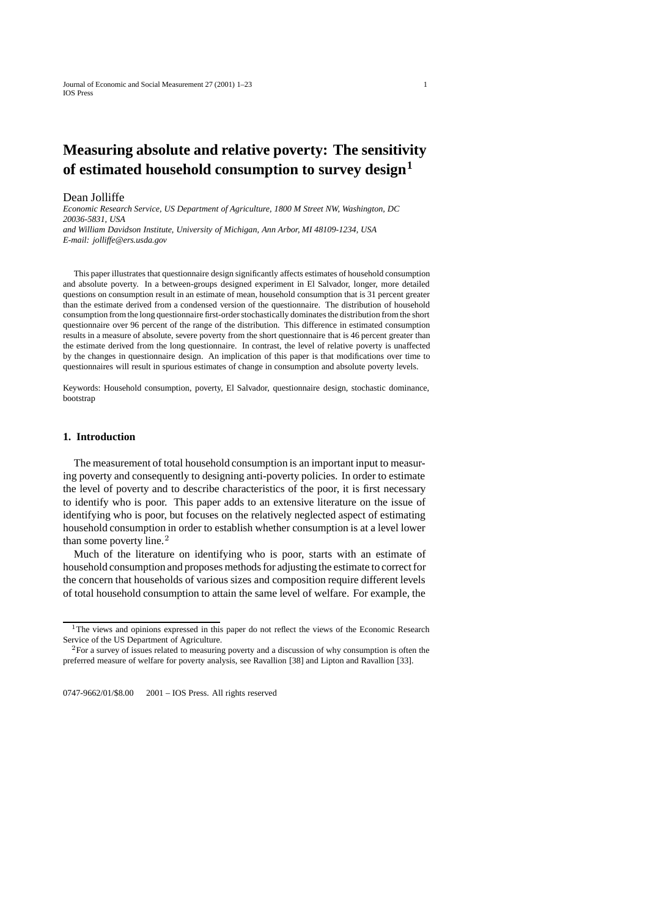# **Measuring absolute and relative poverty: The sensitivity of estimated household consumption to survey design<sup>1</sup>**

#### Dean Jolliffe

*Economic Research Service, US Department of Agriculture, 1800 M Street NW, Washington, DC 20036-5831, USA and William Davidson Institute, University of Michigan, Ann Arbor, MI 48109-1234, USA E-mail: jolliffe@ers.usda.gov*

This paper illustrates that questionnaire design significantly affects estimates of household consumption and absolute poverty. In a between-groups designed experiment in El Salvador, longer, more detailed questions on consumption result in an estimate of mean, household consumption that is 31 percent greater than the estimate derived from a condensed version of the questionnaire. The distribution of household consumption from the long questionnaire first-order stochastically dominates the distribution from the short questionnaire over 96 percent of the range of the distribution. This difference in estimated consumption results in a measure of absolute, severe poverty from the short questionnaire that is 46 percent greater than the estimate derived from the long questionnaire. In contrast, the level of relative poverty is unaffected by the changes in questionnaire design. An implication of this paper is that modifications over time to questionnaires will result in spurious estimates of change in consumption and absolute poverty levels.

Keywords: Household consumption, poverty, El Salvador, questionnaire design, stochastic dominance, bootstrap

#### **1. Introduction**

The measurement of total household consumption is an important input to measuring poverty and consequently to designing anti-poverty policies. In order to estimate the level of poverty and to describe characteristics of the poor, it is first necessary to identify who is poor. This paper adds to an extensive literature on the issue of identifying who is poor, but focuses on the relatively neglected aspect of estimating household consumption in order to establish whether consumption is at a level lower than some poverty line. $<sup>2</sup>$ </sup>

Much of the literature on identifying who is poor, starts with an estimate of household consumption and proposes methods for adjusting the estimate to correct for the concern that households of various sizes and composition require different levels of total household consumption to attain the same level of welfare. For example, the

0747-9662/01/\$8.00 © 2001 - IOS Press. All rights reserved

<sup>&</sup>lt;sup>1</sup>The views and opinions expressed in this paper do not reflect the views of the Economic Research Service of the US Department of Agriculture.

<sup>2</sup>For a survey of issues related to measuring poverty and a discussion of why consumption is often the preferred measure of welfare for poverty analysis, see Ravallion [38] and Lipton and Ravallion [33].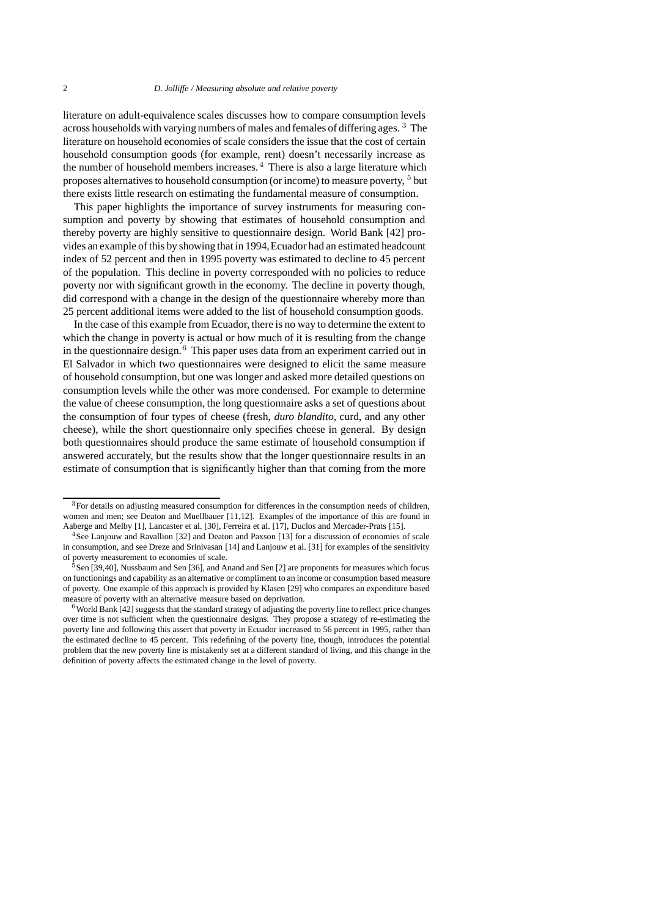literature on adult-equivalence scales discusses how to compare consumption levels across households with varying numbers of males and females of differing ages. <sup>3</sup> The literature on household economies of scale considers the issue that the cost of certain household consumption goods (for example, rent) doesn't necessarily increase as the number of household members increases. $4$  There is also a large literature which proposes alternatives to household consumption (or income) to measure poverty,  $5$  but there exists little research on estimating the fundamental measure of consumption.

This paper highlights the importance of survey instruments for measuring consumption and poverty by showing that estimates of household consumption and thereby poverty are highly sensitive to questionnaire design. World Bank [42] provides an example of this by showing that in 1994,Ecuador had an estimated headcount index of 52 percent and then in 1995 poverty was estimated to decline to 45 percent of the population. This decline in poverty corresponded with no policies to reduce poverty nor with significant growth in the economy. The decline in poverty though, did correspond with a change in the design of the questionnaire whereby more than 25 percent additional items were added to the list of household consumption goods.

In the case of this example from Ecuador, there is no way to determine the extent to which the change in poverty is actual or how much of it is resulting from the change in the questionnaire design.<sup>6</sup> This paper uses data from an experiment carried out in El Salvador in which two questionnaires were designed to elicit the same measure of household consumption, but one was longer and asked more detailed questions on consumption levels while the other was more condensed. For example to determine the value of cheese consumption, the long questionnaire asks a set of questions about the consumption of four types of cheese (fresh, *duro blandito,* curd, and any other cheese), while the short questionnaire only specifies cheese in general. By design both questionnaires should produce the same estimate of household consumption if answered accurately, but the results show that the longer questionnaire results in an estimate of consumption that is significantly higher than that coming from the more

<sup>&</sup>lt;sup>3</sup>For details on adjusting measured consumption for differences in the consumption needs of children, women and men; see Deaton and Muellbauer [11,12]. Examples of the importance of this are found in Aaberge and Melby [1], Lancaster et al. [30], Ferreira et al. [17], Duclos and Mercader-Prats [15].

<sup>4</sup>See Lanjouw and Ravallion [32] and Deaton and Paxson [13] for a discussion of economies of scale in consumption, and see Dreze and Srinivasan [14] and Lanjouw et al. [31] for examples of the sensitivity of poverty measurement to economies of scale.

 $5$ Sen [39,40], Nussbaum and Sen [36], and Anand and Sen [2] are proponents for measures which focus on functionings and capability as an alternative or compliment to an income or consumption based measure of poverty. One example of this approach is provided by Klasen [29] who compares an expenditure based measure of poverty with an alternative measure based on deprivation.

<sup>&</sup>lt;sup>6</sup>World Bank [42] suggests that the standard strategy of adjusting the poverty line to reflect price changes over time is not sufficient when the questionnaire designs. They propose a strategy of re-estimating the poverty line and following this assert that poverty in Ecuador increased to 56 percent in 1995, rather than the estimated decline to 45 percent. This redefining of the poverty line, though, introduces the potential problem that the new poverty line is mistakenly set at a different standard of living, and this change in the definition of poverty affects the estimated change in the level of poverty.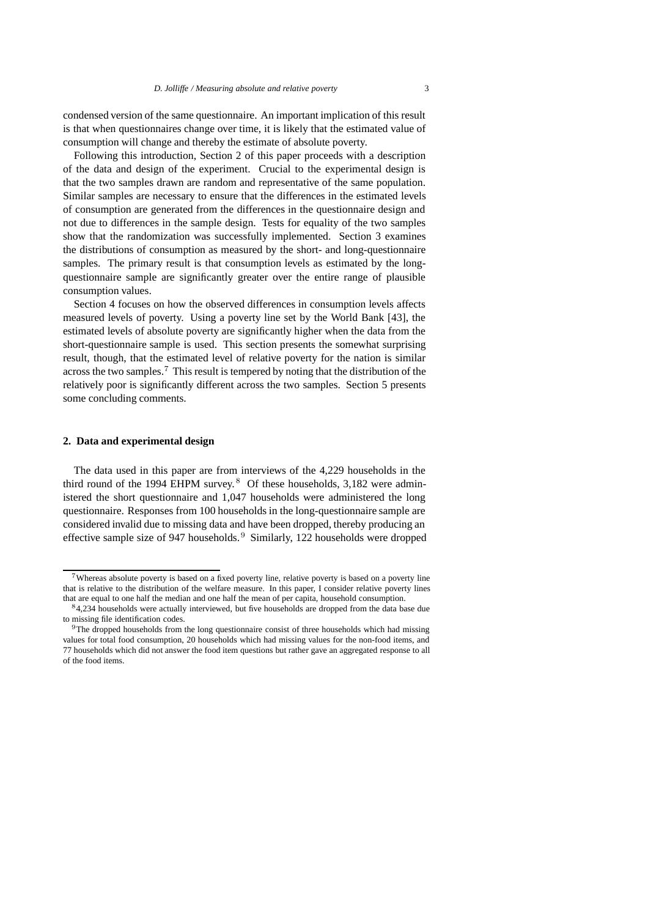condensed version of the same questionnaire. An important implication of this result is that when questionnaires change over time, it is likely that the estimated value of consumption will change and thereby the estimate of absolute poverty.

Following this introduction, Section 2 of this paper proceeds with a description of the data and design of the experiment. Crucial to the experimental design is that the two samples drawn are random and representative of the same population. Similar samples are necessary to ensure that the differences in the estimated levels of consumption are generated from the differences in the questionnaire design and not due to differences in the sample design. Tests for equality of the two samples show that the randomization was successfully implemented. Section 3 examines the distributions of consumption as measured by the short- and long-questionnaire samples. The primary result is that consumption levels as estimated by the longquestionnaire sample are significantly greater over the entire range of plausible consumption values.

Section 4 focuses on how the observed differences in consumption levels affects measured levels of poverty. Using a poverty line set by the World Bank [43], the estimated levels of absolute poverty are significantly higher when the data from the short-questionnaire sample is used. This section presents the somewhat surprising result, though, that the estimated level of relative poverty for the nation is similar across the two samples.<sup>7</sup> This result is tempered by noting that the distribution of the relatively poor is significantly different across the two samples. Section 5 presents some concluding comments.

## **2. Data and experimental design**

The data used in this paper are from interviews of the 4,229 households in the third round of the 1994 EHPM survey.<sup>8</sup> Of these households,  $3,182$  were administered the short questionnaire and 1,047 households were administered the long questionnaire. Responses from 100 households in the long-questionnaire sample are considered invalid due to missing data and have been dropped, thereby producing an effective sample size of 947 households.<sup>9</sup> Similarly, 122 households were dropped

<sup>7</sup>Whereas absolute poverty is based on a fixed poverty line, relative poverty is based on a poverty line that is relative to the distribution of the welfare measure. In this paper, I consider relative poverty lines that are equal to one half the median and one half the mean of per capita, household consumption.

<sup>8</sup>4,234 households were actually interviewed, but five households are dropped from the data base due to missing file identification codes.

<sup>9</sup>The dropped households from the long questionnaire consist of three households which had missing values for total food consumption, 20 households which had missing values for the non-food items, and 77 households which did not answer the food item questions but rather gave an aggregated response to all of the food items.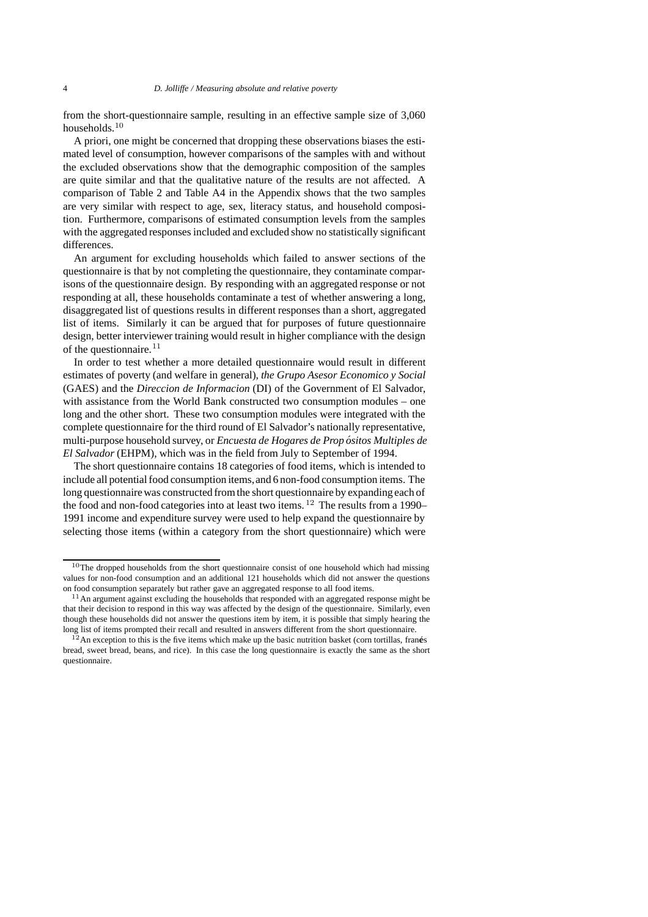from the short-questionnaire sample, resulting in an effective sample size of 3,060 households.<sup>10</sup>

A priori, one might be concerned that dropping these observations biases the estimated level of consumption, however comparisons of the samples with and without the excluded observations show that the demographic composition of the samples are quite similar and that the qualitative nature of the results are not affected. A comparison of Table 2 and Table A4 in the Appendix shows that the two samples are very similar with respect to age, sex, literacy status, and household composition. Furthermore, comparisons of estimated consumption levels from the samples with the aggregated responses included and excluded show no statistically significant differences.

An argument for excluding households which failed to answer sections of the questionnaire is that by not completing the questionnaire, they contaminate comparisons of the questionnaire design. By responding with an aggregated response or not responding at all, these households contaminate a test of whether answering a long, disaggregated list of questions results in different responses than a short, aggregated list of items. Similarly it can be argued that for purposes of future questionnaire design, better interviewer training would result in higher compliance with the design of the questionnaire. $11$ 

In order to test whether a more detailed questionnaire would result in different estimates of poverty (and welfare in general), *the Grupo Asesor Economico y Social* (GAES) and the *Direccion de Informacion* (DI) of the Government of El Salvador, with assistance from the World Bank constructed two consumption modules – one long and the other short. These two consumption modules were integrated with the complete questionnaire for the third round of El Salvador's nationally representative, multi-purpose household survey, or *Encuesta de Hogares de Prop ositos Multiples de ´ El Salvador* (EHPM), which was in the field from July to September of 1994.

The short questionnaire contains 18 categories of food items, which is intended to include all potential food consumption items, and 6 non-food consumption items. The long questionnaire was constructed from the short questionnaire by expanding each of the food and non-food categories into at least two items.  $12$  The results from a 1990– 1991 income and expenditure survey were used to help expand the questionnaire by selecting those items (within a category from the short questionnaire) which were

<sup>&</sup>lt;sup>10</sup>The dropped households from the short questionnaire consist of one household which had missing values for non-food consumption and an additional 121 households which did not answer the questions on food consumption separately but rather gave an aggregated response to all food items.

<sup>&</sup>lt;sup>11</sup>An argument against excluding the households that responded with an aggregated response might be that their decision to respond in this way was affected by the design of the questionnaire. Similarly, even though these households did not answer the questions item by item, it is possible that simply hearing the long list of items prompted their recall and resulted in answers different from the short questionnaire.

 $12$ An exception to this is the five items which make up the basic nutrition basket (corn tortillas, franés bread, sweet bread, beans, and rice). In this case the long questionnaire is exactly the same as the short questionnaire.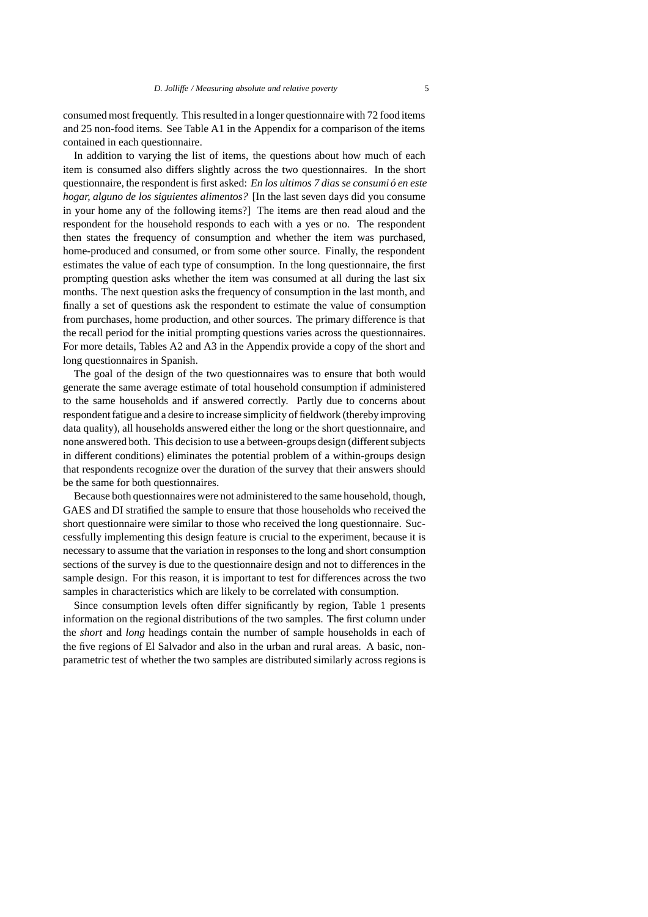consumed most frequently. This resulted in a longer questionnaire with 72 food items and 25 non-food items. See Table A1 in the Appendix for a comparison of the items contained in each questionnaire.

In addition to varying the list of items, the questions about how much of each item is consumed also differs slightly across the two questionnaires. In the short questionnaire, the respondent is first asked: *En los ultimos 7 dias se consumió en este hogar, alguno de los siguientes alimentos?* [In the last seven days did you consume in your home any of the following items?] The items are then read aloud and the respondent for the household responds to each with a yes or no. The respondent then states the frequency of consumption and whether the item was purchased, home-produced and consumed, or from some other source. Finally, the respondent estimates the value of each type of consumption. In the long questionnaire, the first prompting question asks whether the item was consumed at all during the last six months. The next question asks the frequency of consumption in the last month, and finally a set of questions ask the respondent to estimate the value of consumption from purchases, home production, and other sources. The primary difference is that the recall period for the initial prompting questions varies across the questionnaires. For more details, Tables A2 and A3 in the Appendix provide a copy of the short and long questionnaires in Spanish.

The goal of the design of the two questionnaires was to ensure that both would generate the same average estimate of total household consumption if administered to the same households and if answered correctly. Partly due to concerns about respondent fatigue and a desire to increase simplicity of fieldwork (thereby improving data quality), all households answered either the long or the short questionnaire, and none answered both. This decision to use a between-groups design (different subjects in different conditions) eliminates the potential problem of a within-groups design that respondents recognize over the duration of the survey that their answers should be the same for both questionnaires.

Because both questionnaires were not administered to the same household, though, GAES and DI stratified the sample to ensure that those households who received the short questionnaire were similar to those who received the long questionnaire. Successfully implementing this design feature is crucial to the experiment, because it is necessary to assume that the variation in responses to the long and short consumption sections of the survey is due to the questionnaire design and not to differences in the sample design. For this reason, it is important to test for differences across the two samples in characteristics which are likely to be correlated with consumption.

Since consumption levels often differ significantly by region, Table 1 presents information on the regional distributions of the two samples. The first column under the *short* and *long* headings contain the number of sample households in each of the five regions of El Salvador and also in the urban and rural areas. A basic, nonparametric test of whether the two samples are distributed similarly across regions is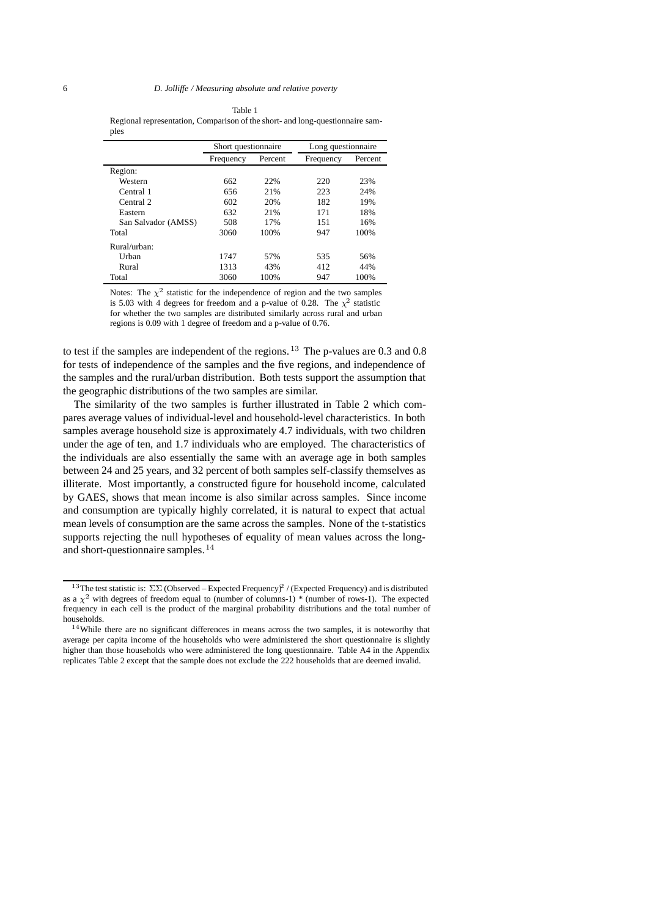Table 1 Regional representation, Comparison of the short- and long-questionnaire samples

|                     | Short questionnaire |         | Long questionnaire |         |
|---------------------|---------------------|---------|--------------------|---------|
|                     | Frequency           | Percent | Frequency          | Percent |
| Region:             |                     |         |                    |         |
| Western             | 662                 | 22%     | 220                | 23%     |
| Central 1           | 656                 | 21%     | 223                | 24%     |
| Central 2           | 602                 | 20%     | 182                | 19%     |
| Eastern             | 632                 | 21%     | 171                | 18%     |
| San Salvador (AMSS) | 508                 | 17%     | 151                | 16%     |
| Total               | 3060                | 100%    | 947                | 100%    |
| Rural/urban:        |                     |         |                    |         |
| Urban               | 1747                | 57%     | 535                | 56%     |
| Rural               | 1313                | 43%     | 412                | 44%     |
| Total               | 3060                | 100%    | 947                | 100%    |

Notes: The  $\chi^2$  statistic for the independence of region and the two samples is 5.03 with 4 degrees for freedom and a p-value of 0.28. The  $\chi^2$  statistic for whether the two samples are distributed similarly across rural and urban regions is 0.09 with 1 degree of freedom and a p-value of 0.76.

to test if the samples are independent of the regions. <sup>13</sup> The p-values are 0.3 and 0.8 for tests of independence of the samples and the five regions, and independence of the samples and the rural/urban distribution. Both tests support the assumption that the geographic distributions of the two samples are similar.

The similarity of the two samples is further illustrated in Table 2 which compares average values of individual-level and household-level characteristics. In both samples average household size is approximately 4.7 individuals, with two children under the age of ten, and 1.7 individuals who are employed. The characteristics of the individuals are also essentially the same with an average age in both samples between 24 and 25 years, and 32 percent of both samples self-classify themselves as illiterate. Most importantly, a constructed figure for household income, calculated by GAES, shows that mean income is also similar across samples. Since income and consumption are typically highly correlated, it is natural to expect that actual mean levels of consumption are the same across the samples. None of the t-statistics supports rejecting the null hypotheses of equality of mean values across the longand short-questionnaire samples.<sup>14</sup>

<sup>&</sup>lt;sup>13</sup>The test statistic is:  $\Sigma\Sigma$  (Observed – Expected Frequency)<sup>2</sup> / (Expected Frequency) and is distributed as a  $\chi^2$  with degrees of freedom equal to (number of columns-1) \* (number of rows-1). The expected frequency in each cell is the product of the marginal probability distributions and the total number of households.

<sup>&</sup>lt;sup>14</sup>While there are no significant differences in means across the two samples, it is noteworthy that average per capita income of the households who were administered the short questionnaire is slightly higher than those households who were administered the long questionnaire. Table A4 in the Appendix replicates Table 2 except that the sample does not exclude the 222 households that are deemed invalid.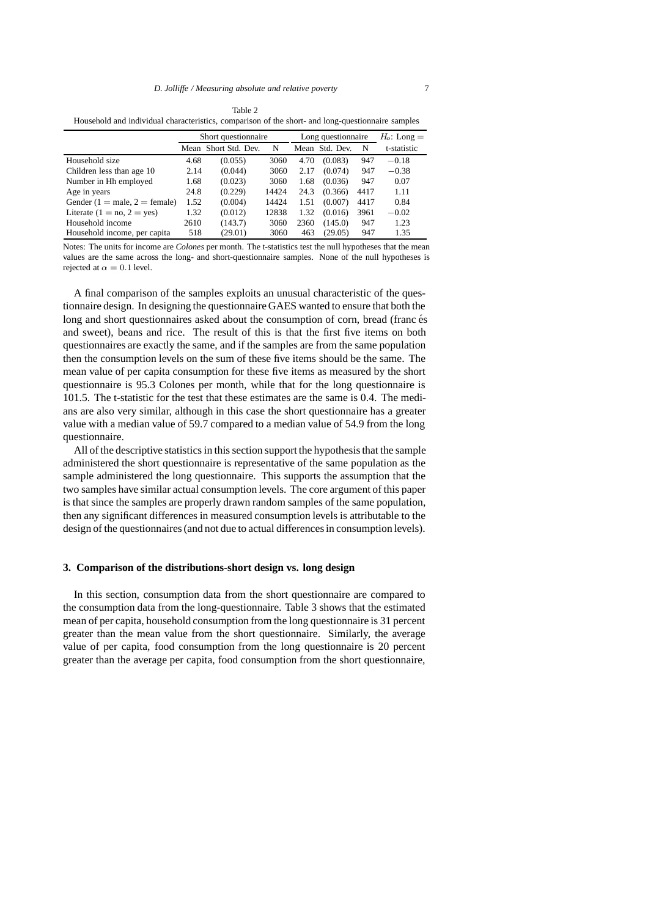| Household and individual characteristics, comparison of the short- and long-questionnaire samples |    |                                   |             |
|---------------------------------------------------------------------------------------------------|----|-----------------------------------|-------------|
| Short questionnaire                                                                               |    | Long questionnaire $H_0$ : Long = |             |
| Mean Short Std. Dev.                                                                              | N. | Mean Std. Dev. N                  | t-statistic |
|                                                                                                   |    |                                   |             |

|                               |      | Mean Short Std. Dev. | N     |      | Mean Std. Dev. | N    | t-statistic |
|-------------------------------|------|----------------------|-------|------|----------------|------|-------------|
| Household size                | 4.68 | (0.055)              | 3060  | 4.70 | (0.083)        | 947  | $-0.18$     |
| Children less than age 10     | 2.14 | (0.044)              | 3060  | 2.17 | (0.074)        | 947  | $-0.38$     |
| Number in Hh employed         | 1.68 | (0.023)              | 3060  | 1.68 | (0.036)        | 947  | 0.07        |
| Age in years                  | 24.8 | (0.229)              | 14424 | 24.3 | (0.366)        | 4417 | 1.11        |
| Gender (1 = male, 2 = female) | 1.52 | (0.004)              | 14424 | 1.51 | (0.007)        | 4417 | 0.84        |
| Literate $(1 = no, 2 = yes)$  | 1.32 | (0.012)              | 12838 | 1.32 | (0.016)        | 3961 | $-0.02$     |
| Household income              | 2610 | (143.7)              | 3060  | 2360 | (145.0)        | 947  | 1.23        |
| Household income, per capita  | 518  | (29.01)              | 3060  | 463  | (29.05)        | 947  | 1.35        |

Notes: The units for income are *Colones* per month. The t-statistics test the null hypotheses that the mean values are the same across the long- and short-questionnaire samples. None of the null hypotheses is rejected at  $\alpha=0.1$  level.

A final comparison of the samples exploits an unusual characteristic of the questionnaire design. In designing the questionnaire GAES wanted to ensure that both the long and short questionnaires asked about the consumption of corn, bread (franc és and sweet), beans and rice. The result of this is that the first five items on both questionnaires are exactly the same, and if the samples are from the same population then the consumption levels on the sum of these five items should be the same. The mean value of per capita consumption for these five items as measured by the short questionnaire is 95.3 Colones per month, while that for the long questionnaire is 101.5. The t-statistic for the test that these estimates are the same is 0.4. The medians are also very similar, although in this case the short questionnaire has a greater value with a median value of 59.7 compared to a median value of 54.9 from the long questionnaire.

All of the descriptive statistics in this section support the hypothesis that the sample administered the short questionnaire is representative of the same population as the sample administered the long questionnaire. This supports the assumption that the two samples have similar actual consumption levels. The core argument of this paper is that since the samples are properly drawn random samples of the same population, then any significant differences in measured consumption levels is attributable to the design of the questionnaires (and not due to actual differences in consumption levels).

## **3. Comparison of the distributions-short design vs. long design**

In this section, consumption data from the short questionnaire are compared to the consumption data from the long-questionnaire. Table 3 shows that the estimated mean of per capita, household consumption from the long questionnaire is 31 percent greater than the mean value from the short questionnaire. Similarly, the average value of per capita, food consumption from the long questionnaire is 20 percent greater than the average per capita, food consumption from the short questionnaire,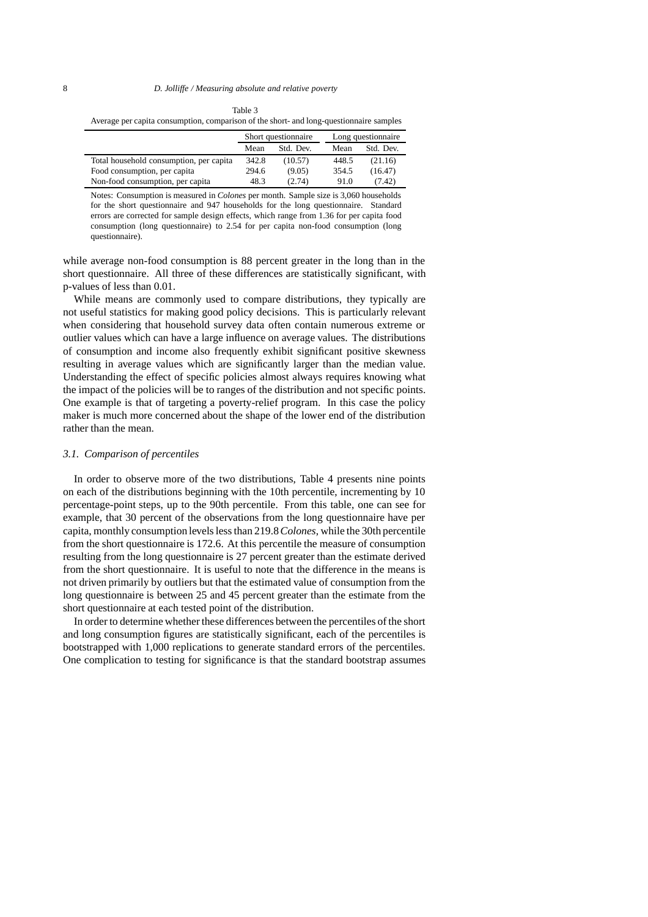| Average per capita consumption, comparison of the short- and long-questionnaire samples |       |                     |       |                    |  |
|-----------------------------------------------------------------------------------------|-------|---------------------|-------|--------------------|--|
|                                                                                         |       | Short questionnaire |       | Long questionnaire |  |
|                                                                                         | Mean  | Std. Dev.           | Mean  | Std. Dev.          |  |
| Total household consumption, per capita                                                 | 342.8 | (10.57)             | 448.5 | (21.16)            |  |
| Food consumption, per capita                                                            | 294.6 | (9.05)              | 354.5 | (16.47)            |  |
| Non-food consumption, per capita                                                        | 48.3  | (2.74)              | 91.0  | (7.42)             |  |

Notes: Consumption is measured in *Colones* per month. Sample size is 3,060 households for the short questionnaire and 947 households for the long questionnaire. Standard errors are corrected for sample design effects, which range from 1.36 for per capita food consumption (long questionnaire) to 2.54 for per capita non-food consumption (long questionnaire).

while average non-food consumption is 88 percent greater in the long than in the short questionnaire. All three of these differences are statistically significant, with p-values of less than 0.01.

While means are commonly used to compare distributions, they typically are not useful statistics for making good policy decisions. This is particularly relevant when considering that household survey data often contain numerous extreme or outlier values which can have a large influence on average values. The distributions of consumption and income also frequently exhibit significant positive skewness resulting in average values which are significantly larger than the median value. Understanding the effect of specific policies almost always requires knowing what the impact of the policies will be to ranges of the distribution and not specific points. One example is that of targeting a poverty-relief program. In this case the policy maker is much more concerned about the shape of the lower end of the distribution rather than the mean.

#### *3.1. Comparison of percentiles*

In order to observe more of the two distributions, Table 4 presents nine points on each of the distributions beginning with the 10th percentile, incrementing by 10 percentage-point steps, up to the 90th percentile. From this table, one can see for example, that 30 percent of the observations from the long questionnaire have per capita, monthly consumption levels less than 219.8*Colones*, while the 30th percentile from the short questionnaire is 172.6. At this percentile the measure of consumption resulting from the long questionnaire is 27 percent greater than the estimate derived from the short questionnaire. It is useful to note that the difference in the means is not driven primarily by outliers but that the estimated value of consumption from the long questionnaire is between 25 and 45 percent greater than the estimate from the short questionnaire at each tested point of the distribution.

In order to determine whether these differences between the percentiles of the short and long consumption figures are statistically significant, each of the percentiles is bootstrapped with 1,000 replications to generate standard errors of the percentiles. One complication to testing for significance is that the standard bootstrap assumes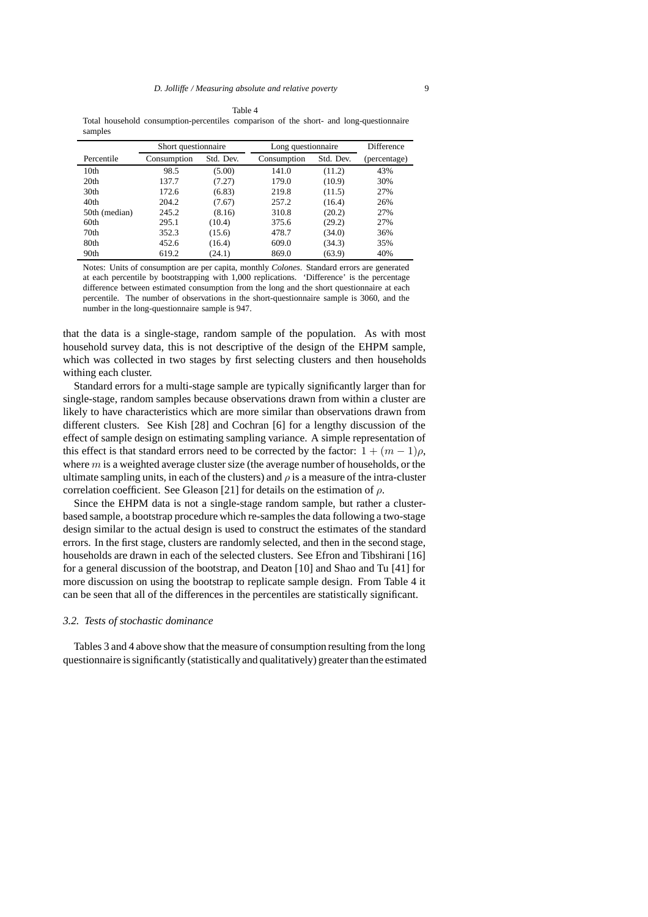Table 4 Total household consumption-percentiles comparison of the short- and long-questionnaire samples

|                  | Short questionnaire |           | Long questionnaire |           | <b>Difference</b> |
|------------------|---------------------|-----------|--------------------|-----------|-------------------|
| Percentile       | Consumption         | Std. Dev. | Consumption        | Std. Dev. | (percentage)      |
| 10 <sub>th</sub> | 98.5                | (5.00)    | 141.0              | (11.2)    | 43%               |
| 20 <sub>th</sub> | 137.7               | (7.27)    | 179.0              | (10.9)    | 30%               |
| 30 <sub>th</sub> | 172.6               | (6.83)    | 219.8              | (11.5)    | 27%               |
| 40 <sub>th</sub> | 204.2               | (7.67)    | 257.2              | (16.4)    | 26%               |
| 50th (median)    | 245.2               | (8.16)    | 310.8              | (20.2)    | 27%               |
| 60 <sub>th</sub> | 295.1               | (10.4)    | 375.6              | (29.2)    | 27%               |
| 70 <sub>th</sub> | 352.3               | (15.6)    | 478.7              | (34.0)    | 36%               |
| 80th             | 452.6               | (16.4)    | 609.0              | (34.3)    | 35%               |
| 90th             | 619.2               | (24.1)    | 869.0              | (63.9)    | 40%               |

Notes: Units of consumption are per capita, monthly *Colones*. Standard errors are generated at each percentile by bootstrapping with 1,000 replications. 'Difference' is the percentage difference between estimated consumption from the long and the short questionnaire at each percentile. The number of observations in the short-questionnaire sample is 3060, and the number in the long-questionnaire sample is 947.

that the data is a single-stage, random sample of the population. As with most household survey data, this is not descriptive of the design of the EHPM sample, which was collected in two stages by first selecting clusters and then households withing each cluster.

Standard errors for a multi-stage sample are typically significantly larger than for single-stage, random samples because observations drawn from within a cluster are likely to have characteristics which are more similar than observations drawn from different clusters. See Kish [28] and Cochran [6] for a lengthy discussion of the effect of sample design on estimating sampling variance. A simple representation of this effect is that standard errors need to be corrected by the factor:  $1+(m-1)\rho$ , where  $m$  is a weighted average cluster size (the average number of households, or the ultimate sampling units, in each of the clusters) and  $\rho$  is a measure of the intra-cluster correlation coefficient. See Gleason [21] for details on the estimation of  $\rho$ .

Since the EHPM data is not a single-stage random sample, but rather a clusterbased sample, a bootstrap procedure which re-samples the data following a two-stage design similar to the actual design is used to construct the estimates of the standard errors. In the first stage, clusters are randomly selected, and then in the second stage, households are drawn in each of the selected clusters. See Efron and Tibshirani [16] for a general discussion of the bootstrap, and Deaton [10] and Shao and Tu [41] for more discussion on using the bootstrap to replicate sample design. From Table 4 it can be seen that all of the differences in the percentiles are statistically significant.

## *3.2. Tests of stochastic dominance*

Tables 3 and 4 above show that the measure of consumption resulting from the long questionnaire is significantly (statistically and qualitatively) greater than the estimated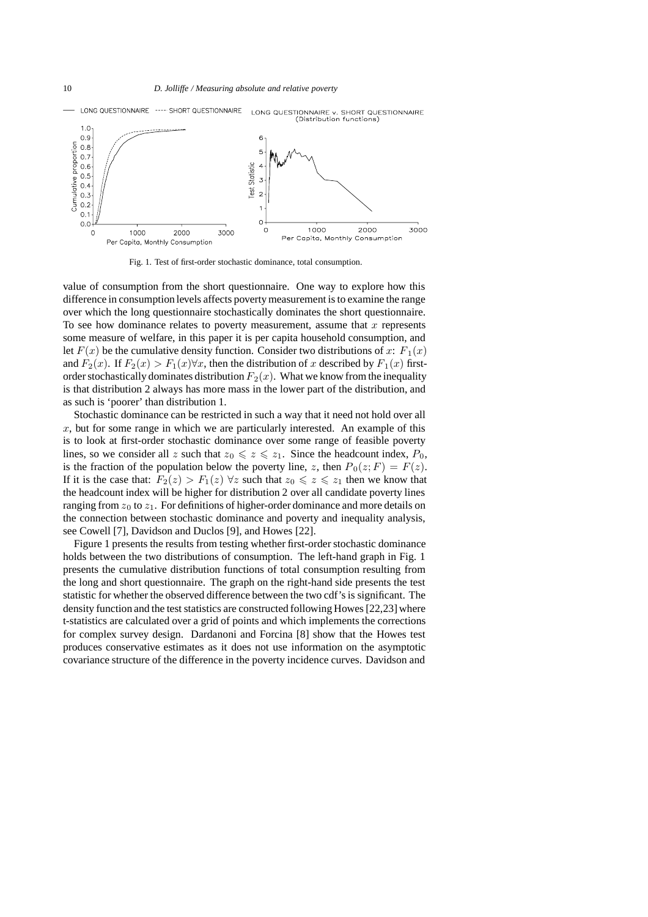

Fig. 1. Test of first-order stochastic dominance, total consumption.

value of consumption from the short questionnaire. One way to explore how this difference in consumption levels affects poverty measurement is to examine the range over which the long questionnaire stochastically dominates the short questionnaire. To see how dominance relates to poverty measurement, assume that  $x$  represents some measure of welfare, in this paper it is per capita household consumption, and let  $F(x)$  be the cumulative density function. Consider two distributions of x:  $F_1(x)$ and  $F_2(x)$ . If  $F_2(x) > F_1(x) \forall x$ , then the distribution of x described by  $F_1(x)$  firstorder stochastically dominates distribution  $F_2(x)$ . What we know from the inequality is that distribution 2 always has more mass in the lower part of the distribution, and as such is 'poorer' than distribution 1.

Stochastic dominance can be restricted in such a way that it need not hold over all  $x$ , but for some range in which we are particularly interested. An example of this is to look at first-order stochastic dominance over some range of feasible poverty lines, so we consider all z such that  $z_0 \leq z \leq z_1$ . Since the headcount index,  $P_0$ , is the fraction of the population below the poverty line, z, then  $P_0(z; F) = F(z)$ . If it is the case that:  $F_2(z) > F_1(z)$   $\forall z$  such that  $z_0 \le z \le z_1$  then we know that the headcount index will be higher for distribution 2 over all candidate poverty lines ranging from  $z_0$  to  $z_1$ . For definitions of higher-order dominance and more details on the connection between stochastic dominance and poverty and inequality analysis, see Cowell [7], Davidson and Duclos [9], and Howes [22].

Figure 1 presents the results from testing whether first-order stochastic dominance holds between the two distributions of consumption. The left-hand graph in Fig. 1 presents the cumulative distribution functions of total consumption resulting from the long and short questionnaire. The graph on the right-hand side presents the test statistic for whether the observed difference between the two cdf's is significant. The density function and the test statistics are constructed following Howes [22,23] where t-statistics are calculated over a grid of points and which implements the corrections for complex survey design. Dardanoni and Forcina [8] show that the Howes test produces conservative estimates as it does not use information on the asymptotic covariance structure of the difference in the poverty incidence curves. Davidson and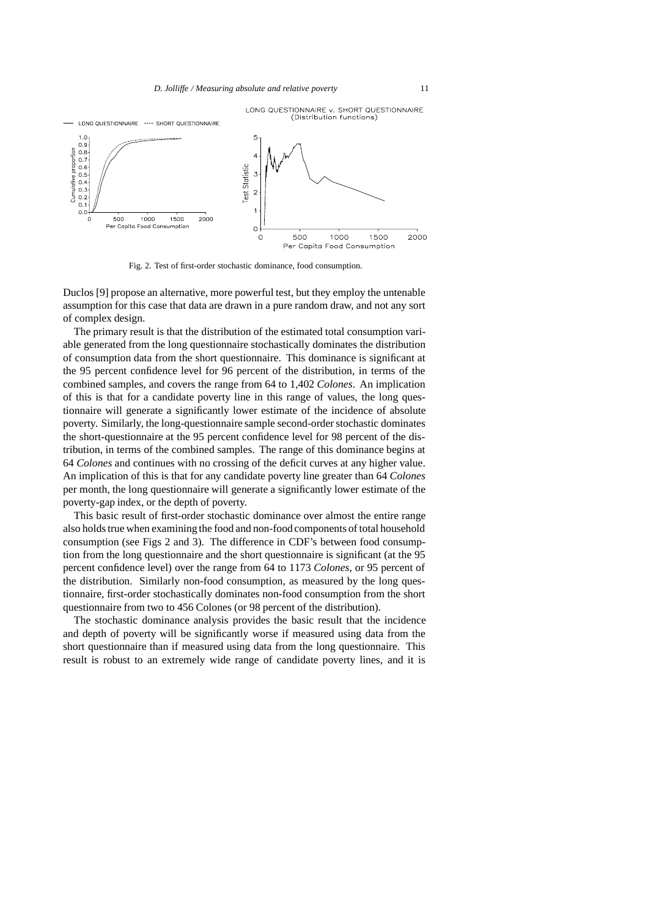

Fig. 2. Test of first-order stochastic dominance, food consumption.

Duclos [9] propose an alternative, more powerful test, but they employ the untenable assumption for this case that data are drawn in a pure random draw, and not any sort of complex design.

The primary result is that the distribution of the estimated total consumption variable generated from the long questionnaire stochastically dominates the distribution of consumption data from the short questionnaire. This dominance is significant at the 95 percent confidence level for 96 percent of the distribution, in terms of the combined samples, and covers the range from 64 to 1,402 *Colones*. An implication of this is that for a candidate poverty line in this range of values, the long questionnaire will generate a significantly lower estimate of the incidence of absolute poverty. Similarly, the long-questionnaire sample second-order stochastic dominates the short-questionnaire at the 95 percent confidence level for 98 percent of the distribution, in terms of the combined samples. The range of this dominance begins at 64 *Colones* and continues with no crossing of the deficit curves at any higher value. An implication of this is that for any candidate poverty line greater than 64 *Colones* per month, the long questionnaire will generate a significantly lower estimate of the poverty-gap index, or the depth of poverty.

This basic result of first-order stochastic dominance over almost the entire range also holds true when examining the food and non-food components of total household consumption (see Figs 2 and 3). The difference in CDF's between food consumption from the long questionnaire and the short questionnaire is significant (at the 95 percent confidence level) over the range from 64 to 1173 *Colones*, or 95 percent of the distribution. Similarly non-food consumption, as measured by the long questionnaire, first-order stochastically dominates non-food consumption from the short questionnaire from two to 456 Colones (or 98 percent of the distribution).

The stochastic dominance analysis provides the basic result that the incidence and depth of poverty will be significantly worse if measured using data from the short questionnaire than if measured using data from the long questionnaire. This result is robust to an extremely wide range of candidate poverty lines, and it is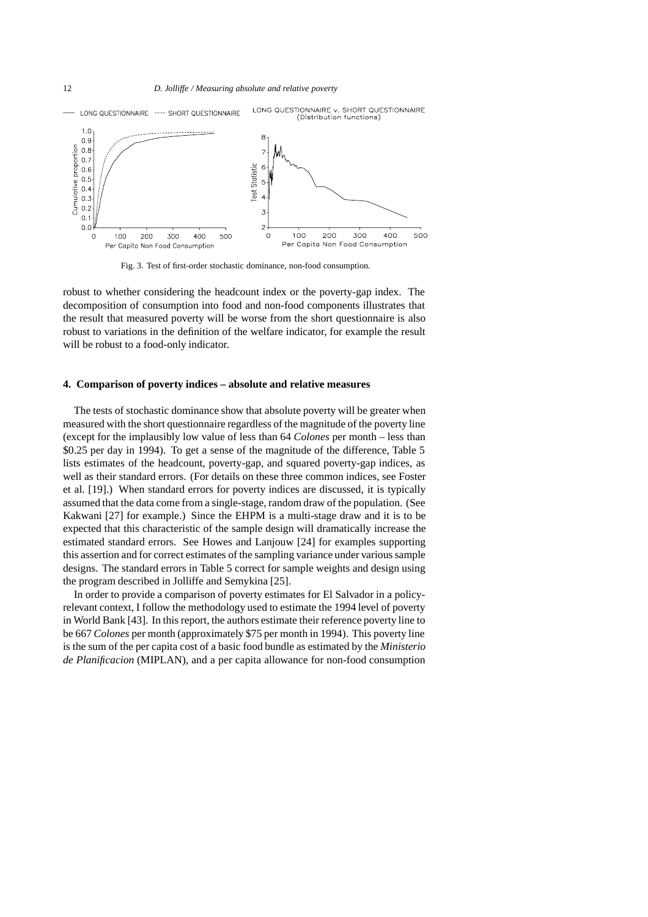12 *D. Jolliffe / Measuring absolute and relative poverty*



Fig. 3. Test of first-order stochastic dominance, non-food consumption.

robust to whether considering the headcount index or the poverty-gap index. The decomposition of consumption into food and non-food components illustrates that the result that measured poverty will be worse from the short questionnaire is also robust to variations in the definition of the welfare indicator, for example the result will be robust to a food-only indicator.

#### **4. Comparison of poverty indices – absolute and relative measures**

The tests of stochastic dominance show that absolute poverty will be greater when measured with the short questionnaire regardless of the magnitude of the poverty line (except for the implausibly low value of less than 64 *Colones* per month – less than \$0.25 per day in 1994). To get a sense of the magnitude of the difference, Table 5 lists estimates of the headcount, poverty-gap, and squared poverty-gap indices, as well as their standard errors. (For details on these three common indices, see Foster et al. [19].) When standard errors for poverty indices are discussed, it is typically assumed that the data come from a single-stage, random draw of the population. (See Kakwani [27] for example.) Since the EHPM is a multi-stage draw and it is to be expected that this characteristic of the sample design will dramatically increase the estimated standard errors. See Howes and Lanjouw [24] for examples supporting this assertion and for correct estimates of the sampling variance under various sample designs. The standard errors in Table 5 correct for sample weights and design using the program described in Jolliffe and Semykina [25].

In order to provide a comparison of poverty estimates for El Salvador in a policyrelevant context, I follow the methodology used to estimate the 1994 level of poverty in World Bank [43]. In this report, the authors estimate their reference poverty line to be 667 *Colones* per month (approximately \$75 per month in 1994). This poverty line is the sum of the per capita cost of a basic food bundle as estimated by the *Ministerio de Planificacion* (MIPLAN), and a per capita allowance for non-food consumption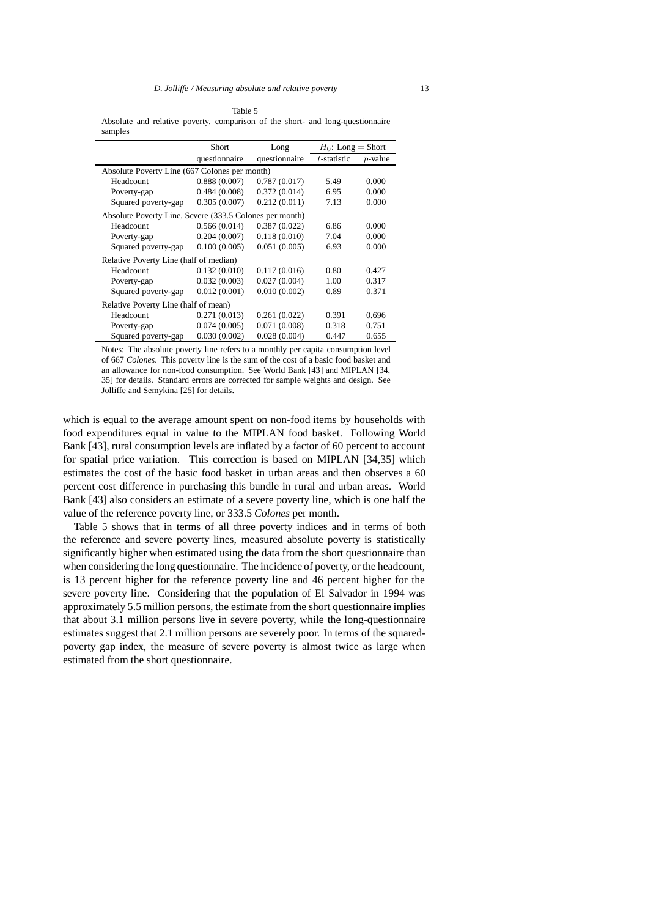Table 5 Absolute and relative poverty, comparison of the short- and long-questionnaire samples

|                                                         | <b>Short</b>  | Long          | $H_0$ : Long = Short |            |
|---------------------------------------------------------|---------------|---------------|----------------------|------------|
|                                                         | questionnaire | questionnaire | t-statistic          | $p$ -value |
| Absolute Poverty Line (667 Colones per month)           |               |               |                      |            |
| Headcount                                               | 0.888(0.007)  | 0.787(0.017)  | 5.49                 | 0.000      |
| Poverty-gap                                             | 0.484(0.008)  | 0.372(0.014)  | 6.95                 | 0.000      |
| Squared poverty-gap                                     | 0.305(0.007)  | 0.212(0.011)  | 7.13                 | 0.000      |
| Absolute Poverty Line, Severe (333.5 Colones per month) |               |               |                      |            |
| Headcount                                               | 0.566(0.014)  | 0.387(0.022)  | 6.86                 | 0.000      |
| Poverty-gap                                             | 0.204(0.007)  | 0.118(0.010)  | 7.04                 | 0.000      |
| Squared poverty-gap                                     | 0.100(0.005)  | 0.051(0.005)  | 6.93                 | 0.000      |
| Relative Poverty Line (half of median)                  |               |               |                      |            |
| Headcount                                               | 0.132(0.010)  | 0.117(0.016)  | 0.80                 | 0.427      |
| Poverty-gap                                             | 0.032(0.003)  | 0.027(0.004)  | 1.00                 | 0.317      |
| Squared poverty-gap                                     | 0.012(0.001)  | 0.010(0.002)  | 0.89                 | 0.371      |
| Relative Poverty Line (half of mean)                    |               |               |                      |            |
| Headcount                                               | 0.271(0.013)  | 0.261(0.022)  | 0.391                | 0.696      |
| Poverty-gap                                             | 0.074(0.005)  | 0.071(0.008)  | 0.318                | 0.751      |
| Squared poverty-gap                                     | 0.030(0.002)  | 0.028(0.004)  | 0.447                | 0.655      |

Notes: The absolute poverty line refers to a monthly per capita consumption level of 667 *Colones*. This poverty line is the sum of the cost of a basic food basket and an allowance for non-food consumption. See World Bank [43] and MIPLAN [34, 35] for details. Standard errors are corrected for sample weights and design. See Jolliffe and Semykina [25] for details.

which is equal to the average amount spent on non-food items by households with food expenditures equal in value to the MIPLAN food basket. Following World Bank [43], rural consumption levels are inflated by a factor of 60 percent to account for spatial price variation. This correction is based on MIPLAN [34,35] which estimates the cost of the basic food basket in urban areas and then observes a 60 percent cost difference in purchasing this bundle in rural and urban areas. World Bank [43] also considers an estimate of a severe poverty line, which is one half the value of the reference poverty line, or 333.5 *Colones* per month.

Table 5 shows that in terms of all three poverty indices and in terms of both the reference and severe poverty lines, measured absolute poverty is statistically significantly higher when estimated using the data from the short questionnaire than when considering the long questionnaire. The incidence of poverty, or the headcount, is 13 percent higher for the reference poverty line and 46 percent higher for the severe poverty line. Considering that the population of El Salvador in 1994 was approximately 5.5 million persons, the estimate from the short questionnaire implies that about 3.1 million persons live in severe poverty, while the long-questionnaire estimates suggest that 2.1 million persons are severely poor. In terms of the squaredpoverty gap index, the measure of severe poverty is almost twice as large when estimated from the short questionnaire.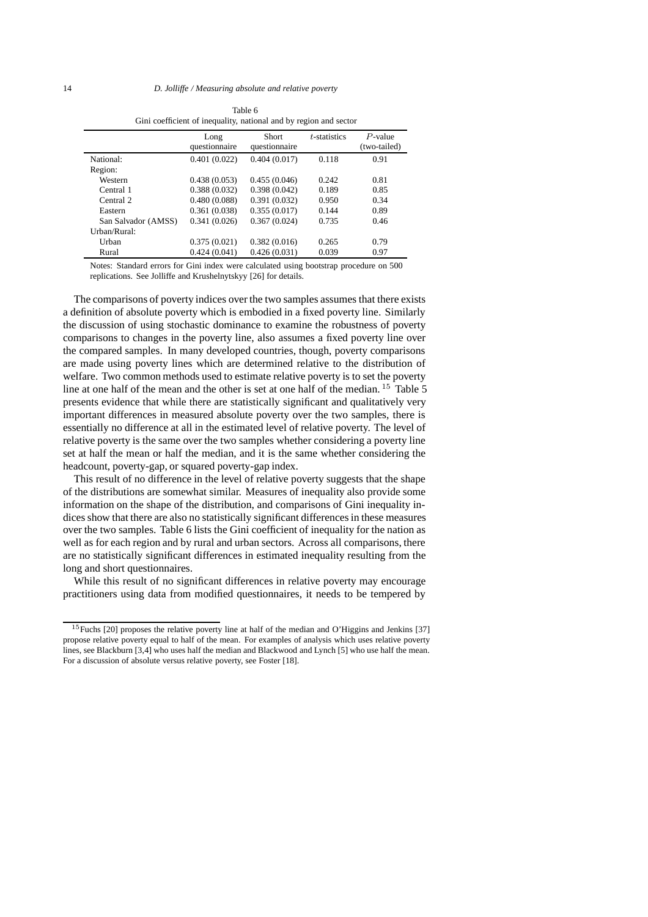|                     | Gini coefficient of inequality, national and by region and sector |               |                 |              |
|---------------------|-------------------------------------------------------------------|---------------|-----------------|--------------|
|                     | Long                                                              | Short         | $t$ -statistics | $P$ -value   |
|                     | questionnaire                                                     | questionnaire |                 | (two-tailed) |
| National:           | 0.401(0.022)                                                      | 0.404(0.017)  | 0.118           | 0.91         |
| Region:             |                                                                   |               |                 |              |
| Western             | 0.438(0.053)                                                      | 0.455(0.046)  | 0.242           | 0.81         |
| Central 1           | 0.388(0.032)                                                      | 0.398(0.042)  | 0.189           | 0.85         |
| Central 2           | 0.480(0.088)                                                      | 0.391(0.032)  | 0.950           | 0.34         |
| Eastern             | 0.361(0.038)                                                      | 0.355(0.017)  | 0.144           | 0.89         |
| San Salvador (AMSS) | 0.341(0.026)                                                      | 0.367(0.024)  | 0.735           | 0.46         |
| Urban/Rural:        |                                                                   |               |                 |              |
| Urban               | 0.375(0.021)                                                      | 0.382(0.016)  | 0.265           | 0.79         |
| Rural               | 0.424(0.041)                                                      | 0.426(0.031)  | 0.039           | 0.97         |

Table 6 Gini coefficient of inequality, national and by region and sector

Notes: Standard errors for Gini index were calculated using bootstrap procedure on 500 replications. See Jolliffe and Krushelnytskyy [26] for details.

The comparisons of poverty indices over the two samples assumes that there exists a definition of absolute poverty which is embodied in a fixed poverty line. Similarly the discussion of using stochastic dominance to examine the robustness of poverty comparisons to changes in the poverty line, also assumes a fixed poverty line over the compared samples. In many developed countries, though, poverty comparisons are made using poverty lines which are determined relative to the distribution of welfare. Two common methods used to estimate relative poverty is to set the poverty line at one half of the mean and the other is set at one half of the median.  $15$  Table 5 presents evidence that while there are statistically significant and qualitatively very important differences in measured absolute poverty over the two samples, there is essentially no difference at all in the estimated level of relative poverty. The level of relative poverty is the same over the two samples whether considering a poverty line set at half the mean or half the median, and it is the same whether considering the headcount, poverty-gap, or squared poverty-gap index.

This result of no difference in the level of relative poverty suggests that the shape of the distributions are somewhat similar. Measures of inequality also provide some information on the shape of the distribution, and comparisons of Gini inequality indices show that there are also no statistically significant differences in these measures over the two samples. Table 6 lists the Gini coefficient of inequality for the nation as well as for each region and by rural and urban sectors. Across all comparisons, there are no statistically significant differences in estimated inequality resulting from the long and short questionnaires.

While this result of no significant differences in relative poverty may encourage practitioners using data from modified questionnaires, it needs to be tempered by

<sup>&</sup>lt;sup>15</sup>Fuchs [20] proposes the relative poverty line at half of the median and O'Higgins and Jenkins [37] propose relative poverty equal to half of the mean. For examples of analysis which uses relative poverty lines, see Blackburn [3,4] who uses half the median and Blackwood and Lynch [5] who use half the mean. For a discussion of absolute versus relative poverty, see Foster [18].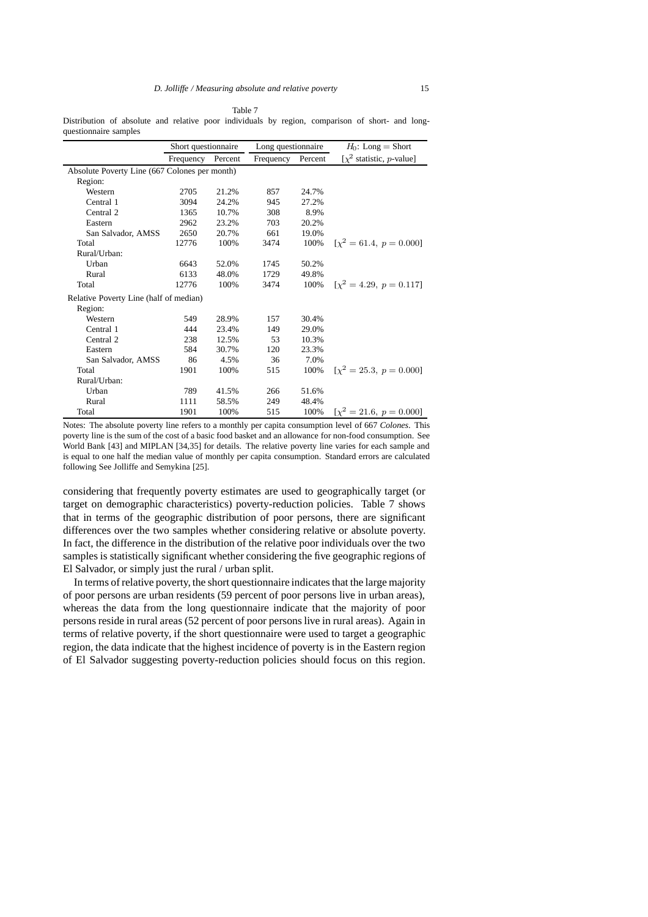Table 7

Distribution of absolute and relative poor individuals by region, comparison of short- and longquestionnaire samples

|                                               | Short questionnaire |       | Long questionnaire |       | $H_0$ : Long = Short                   |
|-----------------------------------------------|---------------------|-------|--------------------|-------|----------------------------------------|
|                                               | Frequency Percent   |       | Frequency Percent  |       | [ $\chi^2$ statistic, <i>p</i> -value] |
| Absolute Poverty Line (667 Colones per month) |                     |       |                    |       |                                        |
| Region:                                       |                     |       |                    |       |                                        |
| Western                                       | 2705                | 21.2% | 857                | 24.7% |                                        |
| Central 1                                     | 3094                | 24.2% | 945                | 27.2% |                                        |
| Central 2                                     | 1365                | 10.7% | 308                | 8.9%  |                                        |
| Eastern                                       | 2962                | 23.2% | 703                | 20.2% |                                        |
| San Salvador, AMSS                            | 2650                | 20.7% | 661                | 19.0% |                                        |
| Total                                         | 12776               | 100%  | 3474               | 100%  | $[x^2 = 61.4, p = 0.000]$              |
| Rural/Urban:                                  |                     |       |                    |       |                                        |
| Urban                                         | 6643                | 52.0% | 1745               | 50.2% |                                        |
| Rural                                         | 6133                | 48.0% | 1729               | 49.8% |                                        |
| Total                                         | 12776               | 100%  | 3474               | 100%  | $[\chi^2 = 4.29, p = 0.117]$           |
| Relative Poverty Line (half of median)        |                     |       |                    |       |                                        |
| Region:                                       |                     |       |                    |       |                                        |
| Western                                       | 549                 | 28.9% | 157                | 30.4% |                                        |
| Central 1                                     | 444                 | 23.4% | 149                | 29.0% |                                        |
| Central 2                                     | 238                 | 12.5% | 53                 | 10.3% |                                        |
| Eastern                                       | 584                 | 30.7% | 120                | 23.3% |                                        |
| San Salvador, AMSS                            | 86                  | 4.5%  | 36                 | 7.0%  |                                        |
| Total                                         | 1901                | 100%  | 515                | 100%  | $[\chi^2 = 25.3, p = 0.000]$           |
| Rural/Urban:                                  |                     |       |                    |       |                                        |
| Urban                                         | 789                 | 41.5% | 266                | 51.6% |                                        |
| Rural                                         | 1111                | 58.5% | 249                | 48.4% |                                        |
| Total                                         | 1901                | 100%  | 515                | 100%  | $[\chi^2 = 21.6, p = 0.000]$           |

Notes: The absolute poverty line refers to a monthly per capita consumption level of 667 *Colones*. This poverty line is the sum of the cost of a basic food basket and an allowance for non-food consumption. See World Bank [43] and MIPLAN [34,35] for details. The relative poverty line varies for each sample and is equal to one half the median value of monthly per capita consumption. Standard errors are calculated following See Jolliffe and Semykina [25].

considering that frequently poverty estimates are used to geographically target (or target on demographic characteristics) poverty-reduction policies. Table 7 shows that in terms of the geographic distribution of poor persons, there are significant differences over the two samples whether considering relative or absolute poverty. In fact, the difference in the distribution of the relative poor individuals over the two samples is statistically significant whether considering the five geographic regions of El Salvador, or simply just the rural / urban split.

In terms of relative poverty, the short questionnaire indicates that the large majority of poor persons are urban residents (59 percent of poor persons live in urban areas), whereas the data from the long questionnaire indicate that the majority of poor persons reside in rural areas (52 percent of poor persons live in rural areas). Again in terms of relative poverty, if the short questionnaire were used to target a geographic region, the data indicate that the highest incidence of poverty is in the Eastern region of El Salvador suggesting poverty-reduction policies should focus on this region.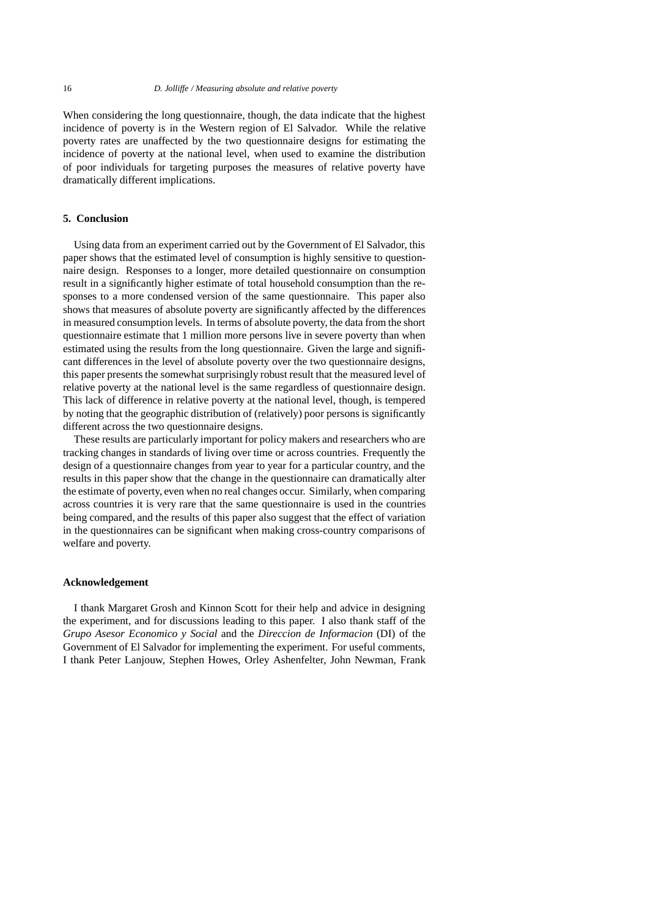When considering the long questionnaire, though, the data indicate that the highest incidence of poverty is in the Western region of El Salvador. While the relative poverty rates are unaffected by the two questionnaire designs for estimating the incidence of poverty at the national level, when used to examine the distribution of poor individuals for targeting purposes the measures of relative poverty have dramatically different implications.

## **5. Conclusion**

Using data from an experiment carried out by the Government of El Salvador, this paper shows that the estimated level of consumption is highly sensitive to questionnaire design. Responses to a longer, more detailed questionnaire on consumption result in a significantly higher estimate of total household consumption than the responses to a more condensed version of the same questionnaire. This paper also shows that measures of absolute poverty are significantly affected by the differences in measured consumption levels. In terms of absolute poverty, the data from the short questionnaire estimate that 1 million more persons live in severe poverty than when estimated using the results from the long questionnaire. Given the large and significant differences in the level of absolute poverty over the two questionnaire designs, this paper presents the somewhat surprisingly robust result that the measured level of relative poverty at the national level is the same regardless of questionnaire design. This lack of difference in relative poverty at the national level, though, is tempered by noting that the geographic distribution of (relatively) poor persons is significantly different across the two questionnaire designs.

These results are particularly important for policy makers and researchers who are tracking changes in standards of living over time or across countries. Frequently the design of a questionnaire changes from year to year for a particular country, and the results in this paper show that the change in the questionnaire can dramatically alter the estimate of poverty, even when no real changes occur. Similarly, when comparing across countries it is very rare that the same questionnaire is used in the countries being compared, and the results of this paper also suggest that the effect of variation in the questionnaires can be significant when making cross-country comparisons of welfare and poverty.

#### **Acknowledgement**

I thank Margaret Grosh and Kinnon Scott for their help and advice in designing the experiment, and for discussions leading to this paper. I also thank staff of the *Grupo Asesor Economico y Social* and the *Direccion de Informacion* (DI) of the Government of El Salvador for implementing the experiment. For useful comments, I thank Peter Lanjouw, Stephen Howes, Orley Ashenfelter, John Newman, Frank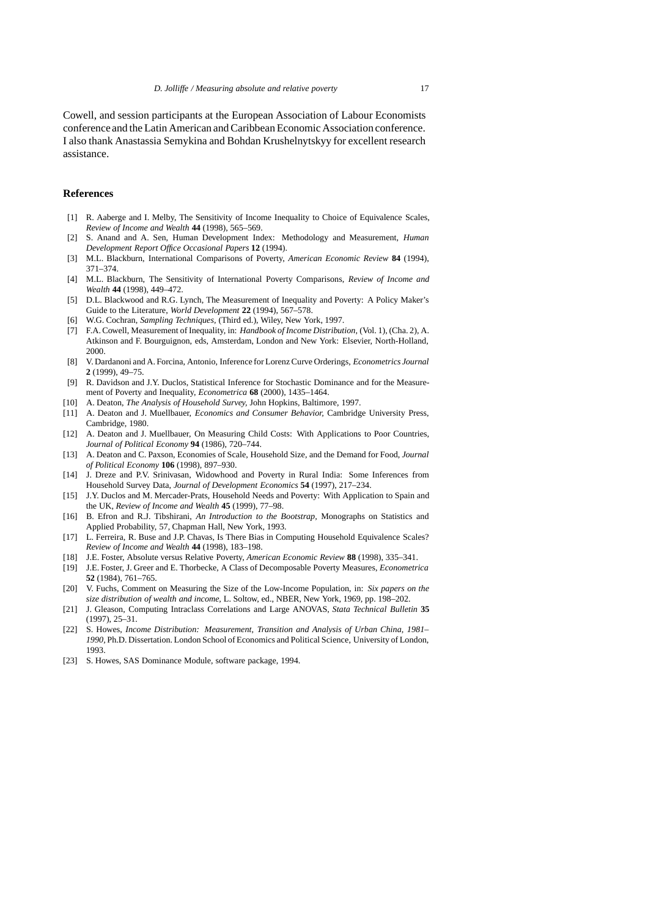Cowell, and session participants at the European Association of Labour Economists conference and the Latin American and Caribbean Economic Association conference. I also thank Anastassia Semykina and Bohdan Krushelnytskyy for excellent research assistance.

## **References**

- [1] R. Aaberge and I. Melby, The Sensitivity of Income Inequality to Choice of Equivalence Scales, *Review of Income and Wealth* **44** (1998), 565–569.
- [2] S. Anand and A. Sen, Human Development Index: Methodology and Measurement, *Human Development Report Office Occasional Papers* **12** (1994).
- [3] M.L. Blackburn, International Comparisons of Poverty, *American Economic Review* **84** (1994), 371–374.
- [4] M.L. Blackburn, The Sensitivity of International Poverty Comparisons, *Review of Income and Wealth* **44** (1998), 449–472.
- [5] D.L. Blackwood and R.G. Lynch, The Measurement of Inequality and Poverty: A Policy Maker's Guide to the Literature, *World Development* **22** (1994), 567–578.
- [6] W.G. Cochran, *Sampling Techniques,* (Third ed.), Wiley, New York, 1997.
- [7] F.A. Cowell, Measurement of Inequality, in: *Handbook of Income Distribution,* (Vol. 1), (Cha. 2), A. Atkinson and F. Bourguignon, eds, Amsterdam, London and New York: Elsevier, North-Holland, 2000.
- [8] V. Dardanoni and A. Forcina, Antonio, Inference for Lorenz Curve Orderings, *Econometrics Journal* **2** (1999), 49–75.
- [9] R. Davidson and J.Y. Duclos, Statistical Inference for Stochastic Dominance and for the Measurement of Poverty and Inequality, *Econometrica* **68** (2000), 1435–1464.
- [10] A. Deaton, *The Analysis of Household Survey,* John Hopkins, Baltimore, 1997.
- [11] A. Deaton and J. Muellbauer, *Economics and Consumer Behavior,* Cambridge University Press, Cambridge, 1980.
- [12] A. Deaton and J. Muellbauer, On Measuring Child Costs: With Applications to Poor Countries, *Journal of Political Economy* **94** (1986), 720–744.
- [13] A. Deaton and C. Paxson, Economies of Scale, Household Size, and the Demand for Food, *Journal of Political Economy* **106** (1998), 897–930.
- [14] J. Dreze and P.V. Srinivasan, Widowhood and Poverty in Rural India: Some Inferences from Household Survey Data, *Journal of Development Economics* **54** (1997), 217–234.
- [15] J.Y. Duclos and M. Mercader-Prats, Household Needs and Poverty: With Application to Spain and the UK, *Review of Income and Wealth* **45** (1999), 77–98.
- [16] B. Efron and R.J. Tibshirani, *An Introduction to the Bootstrap,* Monographs on Statistics and Applied Probability, 57, Chapman Hall, New York, 1993.
- [17] L. Ferreira, R. Buse and J.P. Chavas, Is There Bias in Computing Household Equivalence Scales? *Review of Income and Wealth* **44** (1998), 183–198.
- [18] J.E. Foster, Absolute versus Relative Poverty, *American Economic Review* **88** (1998), 335–341.
- [19] J.E. Foster, J. Greer and E. Thorbecke, A Class of Decomposable Poverty Measures, *Econometrica* **52** (1984), 761–765.
- [20] V. Fuchs, Comment on Measuring the Size of the Low-Income Population, in: *Six papers on the size distribution of wealth and income,* L. Soltow, ed., NBER, New York, 1969, pp. 198–202.
- [21] J. Gleason, Computing Intraclass Correlations and Large ANOVAS, *Stata Technical Bulletin* **35** (1997), 25–31.
- [22] S. Howes, *Income Distribution: Measurement, Transition and Analysis of Urban China, 1981– 1990,* Ph.D. Dissertation. London School of Economics and Political Science, University of London, 1993.
- [23] S. Howes, SAS Dominance Module, software package, 1994.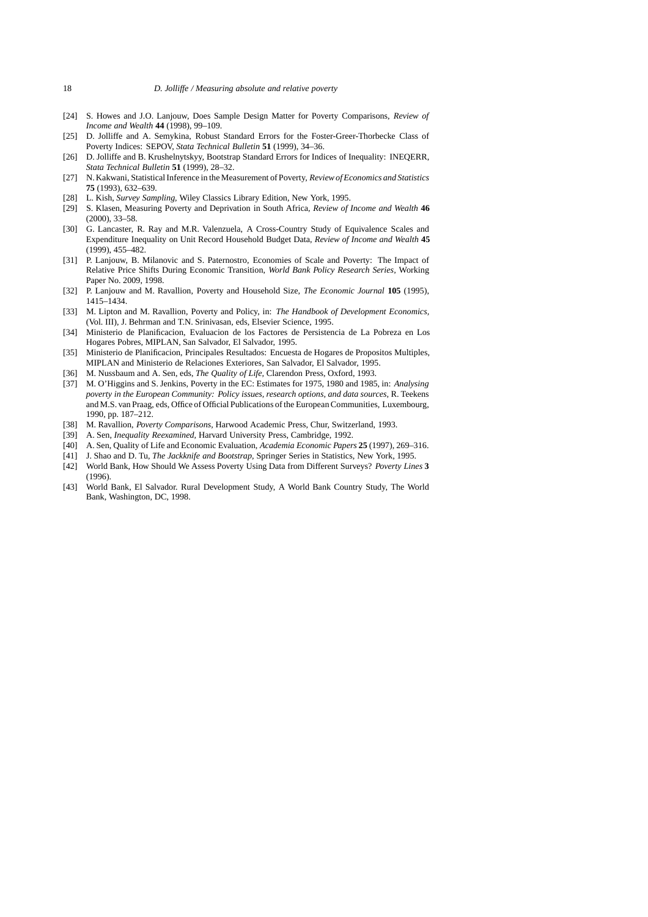- [24] S. Howes and J.O. Lanjouw, Does Sample Design Matter for Poverty Comparisons, *Review of Income and Wealth* **44** (1998), 99–109.
- [25] D. Jolliffe and A. Semykina, Robust Standard Errors for the Foster-Greer-Thorbecke Class of Poverty Indices: SEPOV, *Stata Technical Bulletin* **51** (1999), 34–36.
- [26] D. Jolliffe and B. Krushelnytskyy, Bootstrap Standard Errors for Indices of Inequality: INEQERR, *Stata Technical Bulletin* **51** (1999), 28–32.
- [27] N. Kakwani, Statistical Inference in the Measurement of Poverty, *Review of Economics and Statistics* **75** (1993), 632–639.
- [28] L. Kish, *Survey Sampling,* Wiley Classics Library Edition, New York, 1995.
- [29] S. Klasen, Measuring Poverty and Deprivation in South Africa, *Review of Income and Wealth* **46** (2000), 33–58.
- [30] G. Lancaster, R. Ray and M.R. Valenzuela, A Cross-Country Study of Equivalence Scales and Expenditure Inequality on Unit Record Household Budget Data, *Review of Income and Wealth* **45** (1999), 455–482.
- [31] P. Lanjouw, B. Milanovic and S. Paternostro, Economies of Scale and Poverty: The Impact of Relative Price Shifts During Economic Transition, *World Bank Policy Research Series,* Working Paper No. 2009, 1998.
- [32] P. Lanjouw and M. Ravallion, Poverty and Household Size, *The Economic Journal* **105** (1995), 1415–1434.
- [33] M. Lipton and M. Ravallion, Poverty and Policy, in: *The Handbook of Development Economics,* (Vol. III), J. Behrman and T.N. Srinivasan, eds, Elsevier Science, 1995.
- [34] Ministerio de Planificacion, Evaluacion de los Factores de Persistencia de La Pobreza en Los Hogares Pobres, MIPLAN, San Salvador, El Salvador, 1995.
- [35] Ministerio de Planificacion, Principales Resultados: Encuesta de Hogares de Propositos Multiples, MIPLAN and Ministerio de Relaciones Exteriores, San Salvador, El Salvador, 1995.
- [36] M. Nussbaum and A. Sen, eds, *The Quality of Life,* Clarendon Press, Oxford, 1993.
- [37] M. O'Higgins and S. Jenkins, Poverty in the EC: Estimates for 1975, 1980 and 1985, in: *Analysing poverty in the European Community: Policy issues, research options, and data sources,* R. Teekens and M.S. van Praag, eds, Office of Official Publications of the European Communities, Luxembourg, 1990, pp. 187–212.
- [38] M. Ravallion, *Poverty Comparisons,* Harwood Academic Press, Chur, Switzerland, 1993.
- [39] A. Sen, *Inequality Reexamined,* Harvard University Press, Cambridge, 1992.
- [40] A. Sen, Quality of Life and Economic Evaluation, *Academia Economic Papers* **25** (1997), 269–316.
- [41] J. Shao and D. Tu, *The Jackknife and Bootstrap,* Springer Series in Statistics, New York, 1995. [42] World Bank, How Should We Assess Poverty Using Data from Different Surveys? *Poverty Lines* **3**
- (1996). [43] World Bank, El Salvador. Rural Development Study, A World Bank Country Study, The World Bank, Washington, DC, 1998.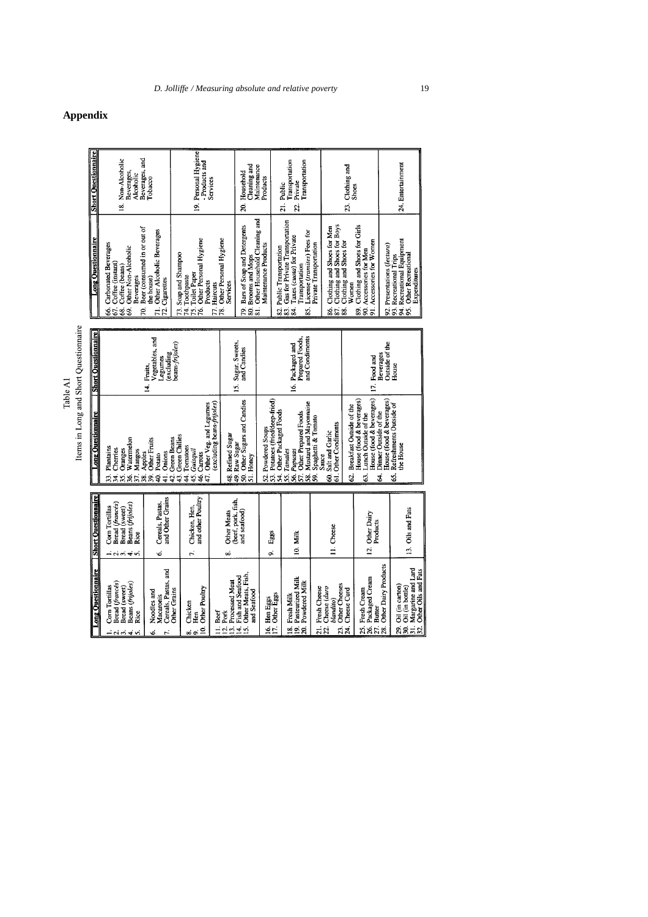Table A1

|                                       | <b>Short Questionnaire</b> | Beverages, and<br>Non-Alcoholic<br>Beverages,<br>Alcoholic<br>g                                                                                            | Tobacco                                                                      | 19. Personal Hygiene<br>-Products and                                                                               | Services                                                            | Cleaning and<br>Maintenance<br>Household<br>ສຸ                                                               | Products                                                                               | Transportation<br>Transportation<br>Private<br>21. Public<br>$\tilde{z}$                                                                                          |                                                                                                 | 23. Clothing and<br><b>Shoes</b>                                                                                                 |                                           | 24. Entertainment                                                                                                             |  |
|---------------------------------------|----------------------------|------------------------------------------------------------------------------------------------------------------------------------------------------------|------------------------------------------------------------------------------|---------------------------------------------------------------------------------------------------------------------|---------------------------------------------------------------------|--------------------------------------------------------------------------------------------------------------|----------------------------------------------------------------------------------------|-------------------------------------------------------------------------------------------------------------------------------------------------------------------|-------------------------------------------------------------------------------------------------|----------------------------------------------------------------------------------------------------------------------------------|-------------------------------------------|-------------------------------------------------------------------------------------------------------------------------------|--|
|                                       | <b>Ang Questionnaire</b>   | Beer (consumed in or out of<br>Carbonated Beverages<br>Other Non-Alcoholic<br>Coffee (instant)<br>Coffee (beans)<br>Beverages<br>s<br>Si<br>68.<br>g<br>\$ | Other Alcoholic Beverages<br>the house)<br>72. Cigarettes<br>$\vec{r}$       | 75. Toilet Paper<br>76. Other Personal Hygiene<br>Soap and Shampoo<br>73. Soap and SI<br>74. Toothpaste<br>Products | Other Personal Hygiene<br>Services<br>77. Haircuts<br>78.           | 79. Bars of Soap and Detergents<br>80. Brooms and Mops<br>81. Other Household Cleaning and                   | Maintenance Products                                                                   | Gas for Private Transportation<br>License (tramites) Fees for<br>Taxes (cuota) for Private<br>Public Transportation<br>Transportation<br>83.<br>84.<br>82.<br>85. | Clothing and Shoes for Boys<br>Clothing and Shoes for Men<br>Private Transportation<br>ಹೆ ಹೆ ಹೆ | Clothing and Shoes for Girls<br>Accessories for Women<br>Clothing and Shoes for<br>89. Clothing and Shoes for Men<br>Women<br>5. |                                           | 94. Recreational Equipment<br>95. Other Recreational<br>92. Presentations (lectura)<br>93. Recreational Trips<br>Expenditures |  |
| Items in Long and Short Questionnaire | <b>Short Questionnaire</b> |                                                                                                                                                            | Vegetables, and<br>peans-frijoles)<br>(excluding<br>-egumes<br>Fruits,<br>4. |                                                                                                                     |                                                                     | 15. Sugar, Sweets,<br>and Candies                                                                            |                                                                                        | and Condiments<br>Prepared Foods,<br>16. Packaged and                                                                                                             |                                                                                                 | 17 Food and                                                                                                                      | Beverages                                 | Outside of the<br>House                                                                                                       |  |
|                                       | <b>Long Ouestionnaire</b>  | Watermelon<br>Plantains<br>Cherries<br>Oranges<br>Mangos<br>Apples<br>್ದ<br>ಔ<br>$\ddot{z}$<br>38 <sub>1</sub><br>.<br>35<br>z.<br>36.                     | (excluding beans-frijoles)<br>Other Veg. and Legumes<br>48. Refined Sugar    | 50. Other Sugars and Candies<br>49. Raw Sugar<br>51. Honey                                                          | Potatoes (fried/deep-fried)<br>52. Powdered Soups<br>$\overline{3}$ | Mustard and Mayonnaise<br>54. Other Packaged Foods<br>57. Other Prepared Foods<br>55. Tamales<br>56. Pupusas | Spaghetti & Tomato<br>61. Other Condiments<br>60. Salt and Garlic<br>Sauce<br>ິສ.<br>ສ | House (food & beverages)<br>House (food & beverages)<br>Breakfast Outside of the<br>Lunch Outside of the<br>62.<br>63.                                            | House (food & beverages)<br>Dinner Outside of the<br>Ź.                                         | Refreshments Outside of<br>he House<br>śŚ.                                                                                       |                                           |                                                                                                                               |  |
|                                       | <b>Short Questionnaire</b> | Bread (francés)<br>Beans (frijoles)<br>Corn Tortillas<br>Bread (sweet)<br>Rice<br>ーベベチベ                                                                    | and Other Grains<br>Cereals, Pastas,<br>Ġ                                    | 45. Guisquil<br>$\overline{43}$<br>46.ī<br>and other Poultry<br>Chicken, Hen,<br>$\vec{r}$                          | <b>Other Meats</b><br>ထဲ                                            | (beef, pork, fish,<br>and seafood)                                                                           | Eggs<br>o,                                                                             | 10. Milk                                                                                                                                                          | 11. Cheese                                                                                      | 12. Other Dairy                                                                                                                  | Products                                  | 13. Oils and Fats                                                                                                             |  |
|                                       | <b>Long Questionnaire</b>  | Bread (francés)<br>Beans (frijoles)<br>Com Tortillas<br>Bread (sweet)<br>Rice<br>$\div$                                                                    | Cereals, Pastas, and<br>Other Grains<br>Noodles and<br>Macaronis<br>É<br>Ġ.  | 10. Other Poultry<br>Chicken<br>Hen<br>œ<br>o,                                                                      | 13. Processed Meat<br>Beef<br>12. Pork<br>$\exists$                 | Other Meats, Fish,<br>14. Fish and Seafood<br>and Seafood<br><u>is</u>                                       | 16. Hen Eggs<br>17. Other Eggs                                                         | 19. Pasteurized Milk<br>20. Powdered Milk<br>18. Fresh Milk                                                                                                       | Other Cheeses<br>Cheese (duro<br>21. Fresh Cheese<br>blandito)<br>$\overline{22}$<br>23.        | 26. Packaged Cream<br>Cheese Curd<br>25. Fresh Cream<br>24.                                                                      | Other Dairy Products<br>27. Butter<br>28. | 31. Margarine and Lard<br>32. Other Oils and Fats<br>29. Oil (in carton)<br>30 Oil (in bottle)                                |  |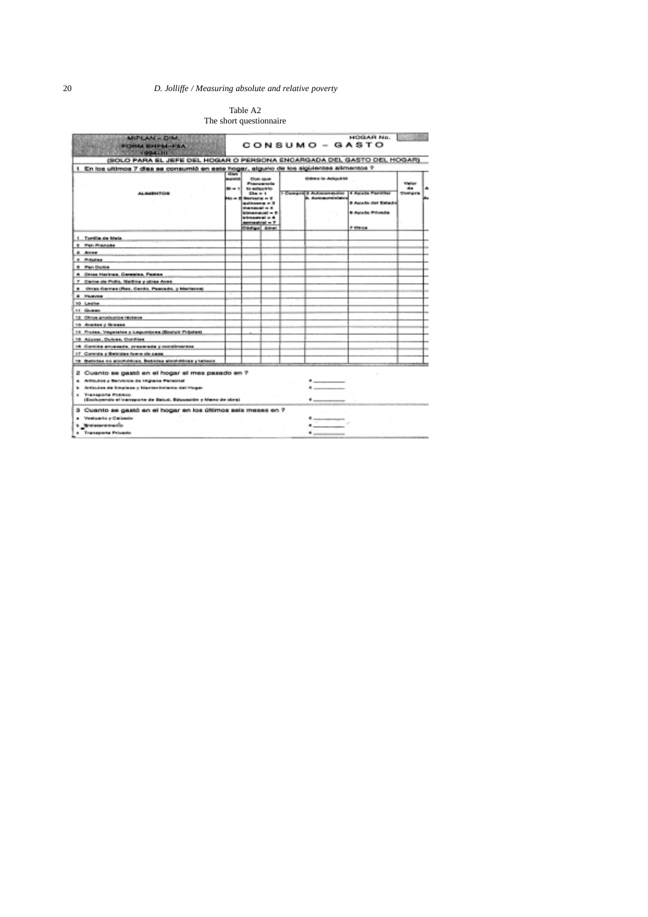# 20 *D. Jolliffe / Measuring absolute and relative poverty*

## Table A2 The short questionnaire

| (SOLO PARA EL JEFE DEL HOGAR O PERSONA ENGARGADA DEL GASTO DEL HOGAR)<br>1 En los ultimos 7 dias se consumió en este hogar, alguno de los siguientes alimentos ?<br><b>Gidden in Adeptits</b><br>Wallace<br><br>1 Compro 3 Autoconsumo 4 Asude Pennikar<br>Compre<br><b>A. Automorpholisten</b><br><b>B Aurache des Entants</b><br><b>6 Avuda Privada</b><br>P Otros |
|----------------------------------------------------------------------------------------------------------------------------------------------------------------------------------------------------------------------------------------------------------------------------------------------------------------------------------------------------------------------|
|                                                                                                                                                                                                                                                                                                                                                                      |
|                                                                                                                                                                                                                                                                                                                                                                      |
|                                                                                                                                                                                                                                                                                                                                                                      |
|                                                                                                                                                                                                                                                                                                                                                                      |
|                                                                                                                                                                                                                                                                                                                                                                      |
|                                                                                                                                                                                                                                                                                                                                                                      |
|                                                                                                                                                                                                                                                                                                                                                                      |
|                                                                                                                                                                                                                                                                                                                                                                      |
|                                                                                                                                                                                                                                                                                                                                                                      |
|                                                                                                                                                                                                                                                                                                                                                                      |
|                                                                                                                                                                                                                                                                                                                                                                      |
|                                                                                                                                                                                                                                                                                                                                                                      |
|                                                                                                                                                                                                                                                                                                                                                                      |
|                                                                                                                                                                                                                                                                                                                                                                      |
|                                                                                                                                                                                                                                                                                                                                                                      |
|                                                                                                                                                                                                                                                                                                                                                                      |
|                                                                                                                                                                                                                                                                                                                                                                      |
|                                                                                                                                                                                                                                                                                                                                                                      |
|                                                                                                                                                                                                                                                                                                                                                                      |
|                                                                                                                                                                                                                                                                                                                                                                      |
|                                                                                                                                                                                                                                                                                                                                                                      |
|                                                                                                                                                                                                                                                                                                                                                                      |
| . _ _ _ _<br>$\overline{\phantom{a}}$                                                                                                                                                                                                                                                                                                                                |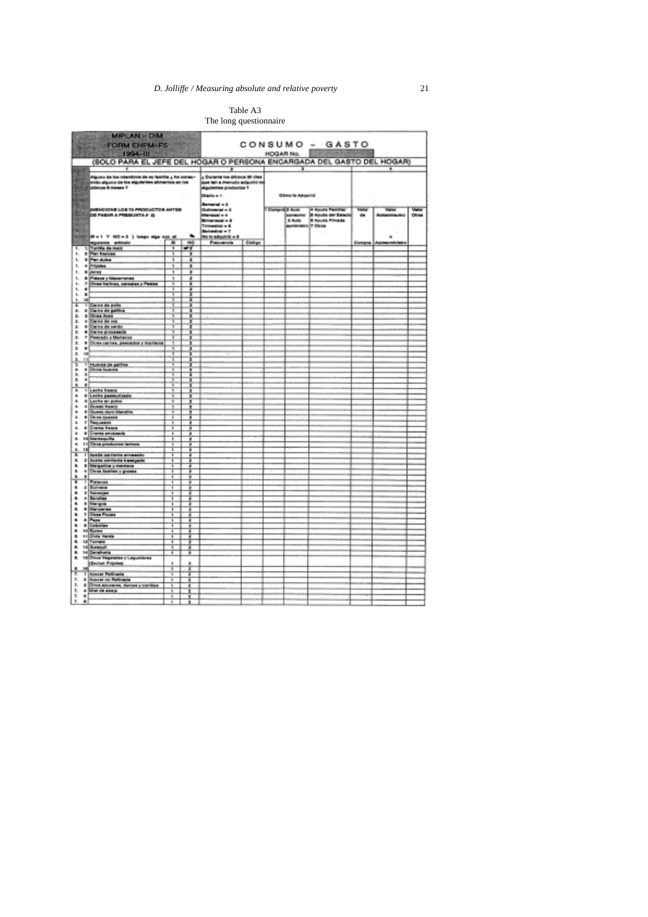## Table A3 The long questionnaire

|                                                   | MIPLAN - DIM<br>47124                                                                                                    |        |           |                                                                                                                            |        |                                      | CONSUMO - GASTO                                                                           |                       |                                    |       |
|---------------------------------------------------|--------------------------------------------------------------------------------------------------------------------------|--------|-----------|----------------------------------------------------------------------------------------------------------------------------|--------|--------------------------------------|-------------------------------------------------------------------------------------------|-----------------------|------------------------------------|-------|
|                                                   | <b>FORM ENPM-FS</b><br>$1994 - 111$                                                                                      |        |           |                                                                                                                            |        | HOGAR No. <b>1999</b>                |                                                                                           |                       |                                    |       |
|                                                   | (SOLO PARA EL JEFE DEL HOGAR O PERSONA ENCARGADA DEL GASTO DEL HOGAR)                                                    |        |           |                                                                                                                            |        |                                      |                                                                                           |                       |                                    |       |
|                                                   | Alguno de los mismitros de su fuerita ¿ ha conser-<br>mido alguno de los siguientes alimentos en los<br>ótimos 0 meses 7 |        |           | 4 Darante los últimos 36 ches<br>que ten a menudo adquisió los<br>diquientes productos ?<br>Charlo = 1                     |        | Obmo la Adquirió                     |                                                                                           |                       |                                    |       |
| <b>Tay</b><br><b>16.000</b><br><b>MAG</b><br>2012 | <b>MENCIONE LOS TEPRODUCTOS ANTES</b><br><b>RESERVED OF A PROPERTY AND STATE OF A PROPERTY AND INCLUSION</b>             |        |           | Beneral + 2<br>Quincented = 3<br>is - lagerad<br>Briannach - B<br>Trimmediati e di<br>Believers - T<br>No to adquirité = 8 |        | 1 Comprete Aves<br>mummino o 7 Otros | 2 Auto - 4 Ayusta Familian<br>2008aunu - 8 Ayusta del Estado<br>2 Auto - 9 Ayusta Frinada | <b>Value</b><br>$-45$ | <b>Walter</b><br>Autosomeutec<br>٠ | Other |
|                                                   | siguiente articulo<br>1 Tortifa de maiz                                                                                  |        |           | Frequencia                                                                                                                 | Codige |                                      |                                                                                           | Gompra                | <b>Aut</b>                         |       |
| ۴.<br>۰.                                          | r Par tenore                                                                                                             | Ŧ<br>Ŧ | $-1$<br>Ŧ |                                                                                                                            |        |                                      |                                                                                           |                       |                                    |       |
|                                                   | 1. 3 Par dutes                                                                                                           | ¥      | ı         |                                                                                                                            |        |                                      |                                                                                           |                       |                                    |       |
|                                                   | 1. 4 Prijotes                                                                                                            | ٦      | л         |                                                                                                                            |        |                                      |                                                                                           |                       |                                    |       |
| ٠.                                                | 6 Anne                                                                                                                   | ٦      | ٠         |                                                                                                                            |        |                                      |                                                                                           |                       |                                    |       |
| ٠.                                                | 6 Pideon y Masarronas                                                                                                    | ä      | ٠         |                                                                                                                            |        |                                      |                                                                                           |                       |                                    |       |
| ٤.                                                | 7 Chras harinas, corsulas y Pasias                                                                                       | π      | т         |                                                                                                                            |        |                                      |                                                                                           |                       |                                    |       |
| a)<br>ŧ.<br>٠.<br>٠                               |                                                                                                                          |        | 1         |                                                                                                                            |        |                                      |                                                                                           |                       |                                    |       |
| m<br>ŧ.                                           |                                                                                                                          |        |           |                                                                                                                            |        |                                      |                                                                                           |                       |                                    |       |
| т                                                 | 1 Caree de pollo                                                                                                         |        |           |                                                                                                                            |        |                                      |                                                                                           |                       |                                    |       |
| а.                                                | 3 Carre de galles                                                                                                        |        |           |                                                                                                                            |        |                                      |                                                                                           |                       |                                    |       |
| 2.                                                | 3 Chies Aves                                                                                                             |        |           |                                                                                                                            |        |                                      |                                                                                           |                       |                                    |       |
| з.<br>з.                                          | 4 Carre de ros                                                                                                           |        |           |                                                                                                                            |        |                                      |                                                                                           |                       |                                    |       |
| ж.                                                |                                                                                                                          |        |           |                                                                                                                            |        |                                      |                                                                                           |                       |                                    |       |
| t.                                                | <b>Canada (mili)</b><br>• Canagnosemia<br>• Pescalo y Mariera                                                            |        |           |                                                                                                                            |        |                                      |                                                                                           |                       |                                    |       |
| ×.                                                | 8 Chres centres, preceding y marisone                                                                                    |        |           |                                                                                                                            |        |                                      |                                                                                           |                       |                                    |       |
| ı.<br>٠                                           |                                                                                                                          |        |           |                                                                                                                            |        |                                      |                                                                                           |                       |                                    |       |
| 145<br>×.                                         |                                                                                                                          |        |           |                                                                                                                            |        |                                      |                                                                                           |                       |                                    |       |
| ğ                                                 | <b>THE REAL PROPERTY</b>                                                                                                 |        |           |                                                                                                                            |        |                                      |                                                                                           |                       |                                    |       |
| ٠                                                 |                                                                                                                          |        |           |                                                                                                                            |        |                                      |                                                                                           |                       |                                    |       |
| 3.3<br>٠<br>٠                                     |                                                                                                                          |        |           |                                                                                                                            |        |                                      |                                                                                           |                       |                                    |       |
| ٠<br>٠                                            |                                                                                                                          |        |           |                                                                                                                            |        |                                      |                                                                                           |                       |                                    |       |
| $\bullet$                                         | 1 Leche Newce                                                                                                            | ч      |           |                                                                                                                            |        |                                      |                                                                                           |                       |                                    |       |
| ٠                                                 | it Loche peateurizade                                                                                                    |        |           |                                                                                                                            |        |                                      |                                                                                           |                       |                                    |       |
| ٠<br>٠                                            | a Leche an police<br>4 Duest heard                                                                                       | x      |           |                                                                                                                            |        |                                      |                                                                                           |                       |                                    |       |
| ٠.                                                | 5 Guess durchlandiss                                                                                                     | ×      |           |                                                                                                                            |        |                                      |                                                                                           |                       |                                    |       |
| ۰                                                 | <b># Chross question</b>                                                                                                 | Ŧ      |           |                                                                                                                            |        |                                      |                                                                                           |                       |                                    |       |
| a.                                                | P Pagueson                                                                                                               | ī      |           |                                                                                                                            |        |                                      |                                                                                           |                       |                                    |       |
| a.<br>á.                                          | 8 Crama franca<br>9 Crama anysmaria                                                                                      | Ŧ<br>Ŧ | ۰         |                                                                                                                            |        |                                      |                                                                                           |                       |                                    |       |
| <b>.</b>                                          | 10 Marketpilla                                                                                                           | Ŧ      |           |                                                                                                                            |        |                                      |                                                                                           |                       |                                    |       |
| a.                                                | 11 Dires production lastered                                                                                             | Ŧ      |           |                                                                                                                            |        |                                      |                                                                                           |                       |                                    |       |
| a.<br>叫                                           |                                                                                                                          | Ŧ      | т         |                                                                                                                            |        |                                      |                                                                                           |                       |                                    |       |
| x<br>Ŧ1                                           | <b>Arelle sorriente annuncio</b><br>8. 2 Austin confients inseegade                                                      | ī<br>Ŧ | т         |                                                                                                                            |        |                                      |                                                                                           |                       |                                    |       |
| ٠                                                 | <b>3 Margarina y manters</b>                                                                                             | Ŧ      |           |                                                                                                                            |        |                                      |                                                                                           |                       |                                    |       |
| ä,                                                | 4 Clean April as y gramas                                                                                                | Ŧ      | т         |                                                                                                                            |        |                                      |                                                                                           |                       |                                    |       |
| ٠<br>٠                                            |                                                                                                                          | ī      |           |                                                                                                                            |        |                                      |                                                                                           |                       |                                    |       |
| τ<br>٠                                            | Plateness<br><b>Divinese</b>                                                                                             | Ŧ<br>Ŧ |           |                                                                                                                            |        |                                      |                                                                                           |                       |                                    |       |
| ×.                                                | 5 Nananjan                                                                                                               | Ŧ      |           |                                                                                                                            |        |                                      |                                                                                           |                       |                                    |       |
| ٠                                                 | 4 Bandian                                                                                                                | Ŧ      |           |                                                                                                                            |        |                                      |                                                                                           |                       |                                    |       |
|                                                   | a Margin                                                                                                                 | ī      |           |                                                                                                                            |        |                                      |                                                                                           |                       |                                    |       |
| ٠                                                 | 4 Marylands                                                                                                              | Ŧ      |           |                                                                                                                            |        |                                      |                                                                                           |                       |                                    |       |
| ä.<br>۰.                                          | T Clean Process<br>a Pass                                                                                                | ī<br>Ŧ |           |                                                                                                                            |        |                                      |                                                                                           |                       |                                    |       |
| ٠<br>٠                                            | 0 Cabular                                                                                                                | ī      |           |                                                                                                                            |        |                                      |                                                                                           |                       |                                    |       |
| ×.                                                | to Epres                                                                                                                 | Ŧ      | ٠         |                                                                                                                            |        |                                      |                                                                                           |                       |                                    |       |
| ٠                                                 | 11 Chile Hende                                                                                                           | ī      |           |                                                                                                                            |        |                                      |                                                                                           |                       |                                    |       |
|                                                   | 6. 12 Tomate<br>6. 13 Suite pull                                                                                         | Ŧ<br>Ŧ | ٠         |                                                                                                                            |        |                                      |                                                                                           |                       |                                    |       |
| ÷.                                                | 14 Innahuria                                                                                                             | Ŧ      | ٠         |                                                                                                                            |        |                                      |                                                                                           |                       |                                    |       |
| ۰.                                                | 18 Once Vegetales y Legumáres                                                                                            |        |           |                                                                                                                            |        |                                      |                                                                                           |                       |                                    |       |
|                                                   | (Secret Pripotes)                                                                                                        | ٠      |           |                                                                                                                            |        |                                      |                                                                                           |                       |                                    |       |
| ş.<br>琳                                           | <b>I Annual Felingia</b>                                                                                                 | т      | x         |                                                                                                                            |        |                                      |                                                                                           |                       |                                    |       |
|                                                   | 7. 3 Aissist no Pelinasia                                                                                                | Ŧ      | Ŧ<br>Ŧ    |                                                                                                                            |        |                                      |                                                                                           |                       |                                    |       |
|                                                   | 7. & Once anyonese, delose y confiber                                                                                    | π      | ٠         |                                                                                                                            |        |                                      |                                                                                           |                       |                                    |       |
| т.                                                | 4 Mint de abaja                                                                                                          | π      |           |                                                                                                                            |        |                                      |                                                                                           |                       |                                    |       |
| 7.<br>$\blacksquare$<br>T.<br>٠                   |                                                                                                                          | u      | л         |                                                                                                                            |        |                                      |                                                                                           |                       |                                    |       |
|                                                   |                                                                                                                          |        |           |                                                                                                                            |        |                                      |                                                                                           |                       |                                    |       |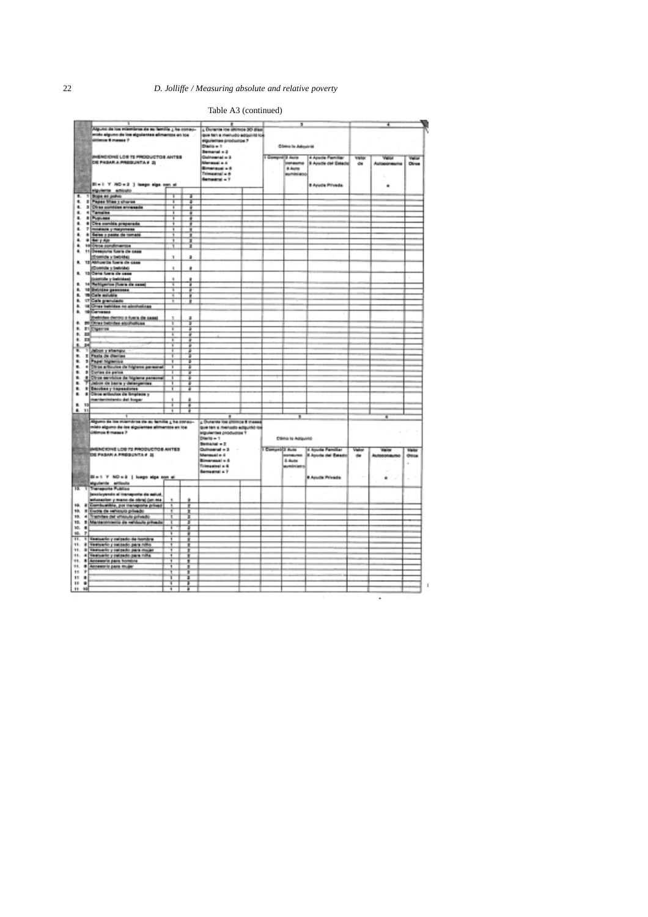# 22 *D. Jolliffe / Measuring absolute and relative poverty*

## Table A3 (continued)

| Alguno de los mismismos de su familla ¿ ha consu-<br>mos 50 dias<br>sido alguno de los siguientes alimentos en tos<br>que tan a menudo adquiritito<br>últimos 6 mases ?<br>siguiernes productos 7<br>Diama - 1<br><b>Como la Adaptria</b><br><b>Bemanal</b> = 3<br>INENCIONE LOS TE PRODUCTOS ANTES<br><b>Culneanal</b> = 3<br>1 Comprehi Auto<br>4 Apuda Familiar<br>Velon<br>Valu<br><b>Value</b><br>DE FROAR A PROGUNTA # 21<br>Merguel a A<br>consume<br>5 Ayude del Estado<br>Olives<br>$4$<br><b>Bimanauai</b> + 6<br>8 Auto<br>Telesanical a di<br>aumésiano<br>Senastral + 7<br>Black V NO = 2 3 large sign can al<br>8 Apada Privada<br>٠<br>players enoule<br>$\blacksquare$<br>Boget en patro<br>٦<br><b>Paper Many charge</b><br>۰<br>٠<br>т<br>Ŧ<br>۰.<br>3 Direct combine environments<br>Ŧ<br>Ŧ<br>4 Tama'es<br>٠.<br>Ŧ<br><b>B</b> Pupuaaa<br>ĩ<br>٠<br>4 Dire conida properada<br>٠<br>Ŧ<br>ä.<br>r<br>повеси у пауотеле<br>ī<br>٠<br>a Sales y pasta da tomata<br>ä<br><b>* Sel y Ain</b><br>1<br>100 Book conditions<br>۰<br>I<br>11 Beesports form de case<br>۰<br>(Enemida y betridig)<br>3<br>٠<br>12 AM until fuera de casa<br>(Comtate y beloide)<br>٠<br>٠<br>13 Oans Avera de sasa<br>ĸ<br>(paeroški y kološka)<br>ä<br>ü<br>14 Rehigerton (fuers de nass)<br>٠<br>Ŧ<br>ä<br>ŧ.<br>10 Belisten genommen<br>19 Cafe militäre<br>Ŧ<br>₽<br>÷<br>ĸ.<br>ø<br><b>IT Cale prenulate</b><br>a.<br>τ<br>٠<br>to Circus battidae no aimovalican<br>٠<br><b>Witnessee</b><br>٠<br>(behides derivo a fuera de cesa)<br>po Otras behides atoriulicas<br>٠<br>т<br>4. STORMSH<br>т<br>Ŧ<br>٠.<br>ш<br>Ŧ<br>٠<br>4. 23<br>Ŧ<br>朋<br>Ŧ<br>٠<br>¥.<br>1 Albert y shampy<br>2 Pasta de dierries<br>٠.<br>3 Pape Highesta<br>< Diras educate de Highese personal<br>٠.<br>т<br>т<br>٠<br>т<br>т<br>٠<br>8 Cories de peixe<br>z<br>4 Obje servizion de logiera personal<br>7 Julion de località<br>7<br>٠<br>٠<br>Jelion de bank y delargement<br>Ŧ<br>Ŧ<br>٠<br><b>Become y Inspeadores</b><br>T<br>т<br>a Clince entirection die Smarteste y<br>٠<br>manientenento del hogar<br>ä<br>8. 10<br>Ŧ<br>ä<br>٠<br>Ħ<br>Ŧ<br>Ŧ<br>¥<br>۰<br>Alguno de los miembros de su temille y ha consu-<br>¿ Ounante los ditimos 8 mess<br>nido alguno de ins siguientes alimentos en los<br>que tan a menudo adquisió los<br><b><i><u>Official 6 masss P</u></i></b><br>siguientes productos 1<br>Dáma to Adquirité<br>Diam'rs = 1<br>Semanal + 2<br><b>ESTE ANEMORY LOS 72 PRODUCTOS ANTES</b><br>A MELIOS PASAR A PREGUNTA P 23<br>I Competit Auto<br>4 Apuda Familiar<br>Districtorial = 3<br>Valu<br>$\sim$<br><b>Nigator</b><br>Mensuel = 6<br><b><i>UNIVERSI</i></b><br><b>Australia dal Bakado</b><br>dress<br>da.<br><b>Bimenauel + 6</b><br>5 Buite<br>Trimaginal a 6<br>sumánias<br>Samuenei a T<br>Bin 1 Y NO = 2   happ alge non at<br><b>RApude Privade</b><br>٠<br>×<br>×<br>10,000<br>siguiente articula<br>π<br>٦<br><b>Transporte Publica</b><br>penningendo al transporta de salud<br>Ŧ<br>10. 8 Euros de rehisto privado<br>10. 4 Tramber del vinious privado<br>10. 8 Marchettreerin de reliduate privado<br>з<br>10. #<br>Ŧ<br>46.<br>$\mathbb{Z}$<br>Ŧ<br>91.<br>1 Neelsenic y raisedo de honiza<br>Ŧ<br>11. 2 September parado para niño<br>11. 8 Hermario y seizado para mujar<br>ï<br>11. 4 Testuario y selando para niña<br>11. 6 Accessite para homine<br>٦<br>11. * Accessive pass mujer<br>11 <sup>7</sup><br>11.8<br>$11 - 4$<br>3<br>Ŧ<br>чá<br>ī<br>ä |  |  | ٠                  |  |  |  |  |
|--------------------------------------------------------------------------------------------------------------------------------------------------------------------------------------------------------------------------------------------------------------------------------------------------------------------------------------------------------------------------------------------------------------------------------------------------------------------------------------------------------------------------------------------------------------------------------------------------------------------------------------------------------------------------------------------------------------------------------------------------------------------------------------------------------------------------------------------------------------------------------------------------------------------------------------------------------------------------------------------------------------------------------------------------------------------------------------------------------------------------------------------------------------------------------------------------------------------------------------------------------------------------------------------------------------------------------------------------------------------------------------------------------------------------------------------------------------------------------------------------------------------------------------------------------------------------------------------------------------------------------------------------------------------------------------------------------------------------------------------------------------------------------------------------------------------------------------------------------------------------------------------------------------------------------------------------------------------------------------------------------------------------------------------------------------------------------------------------------------------------------------------------------------------------------------------------------------------------------------------------------------------------------------------------------------------------------------------------------------------------------------------------------------------------------------------------------------------------------------------------------------------------------------------------------------------------------------------------------------------------------------------------------------------------------------------------------------------------------------------------------------------------------------------------------------------------------------------------------------------------------------------------------------------------------------------------------------------------------------------------------------------------------------------------------------------------------------------------------------------------------------------------------------------------------------------------------------------------------------------------------------------------------------------------------------------------------------------------------------------------------------------------------------------------------------------------------------------------------|--|--|--------------------|--|--|--|--|
|                                                                                                                                                                                                                                                                                                                                                                                                                                                                                                                                                                                                                                                                                                                                                                                                                                                                                                                                                                                                                                                                                                                                                                                                                                                                                                                                                                                                                                                                                                                                                                                                                                                                                                                                                                                                                                                                                                                                                                                                                                                                                                                                                                                                                                                                                                                                                                                                                                                                                                                                                                                                                                                                                                                                                                                                                                                                                                                                                                                                                                                                                                                                                                                                                                                                                                                                                                                                                                                                                |  |  | L Dunante los sito |  |  |  |  |
|                                                                                                                                                                                                                                                                                                                                                                                                                                                                                                                                                                                                                                                                                                                                                                                                                                                                                                                                                                                                                                                                                                                                                                                                                                                                                                                                                                                                                                                                                                                                                                                                                                                                                                                                                                                                                                                                                                                                                                                                                                                                                                                                                                                                                                                                                                                                                                                                                                                                                                                                                                                                                                                                                                                                                                                                                                                                                                                                                                                                                                                                                                                                                                                                                                                                                                                                                                                                                                                                                |  |  |                    |  |  |  |  |
|                                                                                                                                                                                                                                                                                                                                                                                                                                                                                                                                                                                                                                                                                                                                                                                                                                                                                                                                                                                                                                                                                                                                                                                                                                                                                                                                                                                                                                                                                                                                                                                                                                                                                                                                                                                                                                                                                                                                                                                                                                                                                                                                                                                                                                                                                                                                                                                                                                                                                                                                                                                                                                                                                                                                                                                                                                                                                                                                                                                                                                                                                                                                                                                                                                                                                                                                                                                                                                                                                |  |  |                    |  |  |  |  |
|                                                                                                                                                                                                                                                                                                                                                                                                                                                                                                                                                                                                                                                                                                                                                                                                                                                                                                                                                                                                                                                                                                                                                                                                                                                                                                                                                                                                                                                                                                                                                                                                                                                                                                                                                                                                                                                                                                                                                                                                                                                                                                                                                                                                                                                                                                                                                                                                                                                                                                                                                                                                                                                                                                                                                                                                                                                                                                                                                                                                                                                                                                                                                                                                                                                                                                                                                                                                                                                                                |  |  |                    |  |  |  |  |
|                                                                                                                                                                                                                                                                                                                                                                                                                                                                                                                                                                                                                                                                                                                                                                                                                                                                                                                                                                                                                                                                                                                                                                                                                                                                                                                                                                                                                                                                                                                                                                                                                                                                                                                                                                                                                                                                                                                                                                                                                                                                                                                                                                                                                                                                                                                                                                                                                                                                                                                                                                                                                                                                                                                                                                                                                                                                                                                                                                                                                                                                                                                                                                                                                                                                                                                                                                                                                                                                                |  |  |                    |  |  |  |  |
|                                                                                                                                                                                                                                                                                                                                                                                                                                                                                                                                                                                                                                                                                                                                                                                                                                                                                                                                                                                                                                                                                                                                                                                                                                                                                                                                                                                                                                                                                                                                                                                                                                                                                                                                                                                                                                                                                                                                                                                                                                                                                                                                                                                                                                                                                                                                                                                                                                                                                                                                                                                                                                                                                                                                                                                                                                                                                                                                                                                                                                                                                                                                                                                                                                                                                                                                                                                                                                                                                |  |  |                    |  |  |  |  |
|                                                                                                                                                                                                                                                                                                                                                                                                                                                                                                                                                                                                                                                                                                                                                                                                                                                                                                                                                                                                                                                                                                                                                                                                                                                                                                                                                                                                                                                                                                                                                                                                                                                                                                                                                                                                                                                                                                                                                                                                                                                                                                                                                                                                                                                                                                                                                                                                                                                                                                                                                                                                                                                                                                                                                                                                                                                                                                                                                                                                                                                                                                                                                                                                                                                                                                                                                                                                                                                                                |  |  |                    |  |  |  |  |
|                                                                                                                                                                                                                                                                                                                                                                                                                                                                                                                                                                                                                                                                                                                                                                                                                                                                                                                                                                                                                                                                                                                                                                                                                                                                                                                                                                                                                                                                                                                                                                                                                                                                                                                                                                                                                                                                                                                                                                                                                                                                                                                                                                                                                                                                                                                                                                                                                                                                                                                                                                                                                                                                                                                                                                                                                                                                                                                                                                                                                                                                                                                                                                                                                                                                                                                                                                                                                                                                                |  |  |                    |  |  |  |  |
|                                                                                                                                                                                                                                                                                                                                                                                                                                                                                                                                                                                                                                                                                                                                                                                                                                                                                                                                                                                                                                                                                                                                                                                                                                                                                                                                                                                                                                                                                                                                                                                                                                                                                                                                                                                                                                                                                                                                                                                                                                                                                                                                                                                                                                                                                                                                                                                                                                                                                                                                                                                                                                                                                                                                                                                                                                                                                                                                                                                                                                                                                                                                                                                                                                                                                                                                                                                                                                                                                |  |  |                    |  |  |  |  |
|                                                                                                                                                                                                                                                                                                                                                                                                                                                                                                                                                                                                                                                                                                                                                                                                                                                                                                                                                                                                                                                                                                                                                                                                                                                                                                                                                                                                                                                                                                                                                                                                                                                                                                                                                                                                                                                                                                                                                                                                                                                                                                                                                                                                                                                                                                                                                                                                                                                                                                                                                                                                                                                                                                                                                                                                                                                                                                                                                                                                                                                                                                                                                                                                                                                                                                                                                                                                                                                                                |  |  |                    |  |  |  |  |
|                                                                                                                                                                                                                                                                                                                                                                                                                                                                                                                                                                                                                                                                                                                                                                                                                                                                                                                                                                                                                                                                                                                                                                                                                                                                                                                                                                                                                                                                                                                                                                                                                                                                                                                                                                                                                                                                                                                                                                                                                                                                                                                                                                                                                                                                                                                                                                                                                                                                                                                                                                                                                                                                                                                                                                                                                                                                                                                                                                                                                                                                                                                                                                                                                                                                                                                                                                                                                                                                                |  |  |                    |  |  |  |  |
|                                                                                                                                                                                                                                                                                                                                                                                                                                                                                                                                                                                                                                                                                                                                                                                                                                                                                                                                                                                                                                                                                                                                                                                                                                                                                                                                                                                                                                                                                                                                                                                                                                                                                                                                                                                                                                                                                                                                                                                                                                                                                                                                                                                                                                                                                                                                                                                                                                                                                                                                                                                                                                                                                                                                                                                                                                                                                                                                                                                                                                                                                                                                                                                                                                                                                                                                                                                                                                                                                |  |  |                    |  |  |  |  |
|                                                                                                                                                                                                                                                                                                                                                                                                                                                                                                                                                                                                                                                                                                                                                                                                                                                                                                                                                                                                                                                                                                                                                                                                                                                                                                                                                                                                                                                                                                                                                                                                                                                                                                                                                                                                                                                                                                                                                                                                                                                                                                                                                                                                                                                                                                                                                                                                                                                                                                                                                                                                                                                                                                                                                                                                                                                                                                                                                                                                                                                                                                                                                                                                                                                                                                                                                                                                                                                                                |  |  |                    |  |  |  |  |
|                                                                                                                                                                                                                                                                                                                                                                                                                                                                                                                                                                                                                                                                                                                                                                                                                                                                                                                                                                                                                                                                                                                                                                                                                                                                                                                                                                                                                                                                                                                                                                                                                                                                                                                                                                                                                                                                                                                                                                                                                                                                                                                                                                                                                                                                                                                                                                                                                                                                                                                                                                                                                                                                                                                                                                                                                                                                                                                                                                                                                                                                                                                                                                                                                                                                                                                                                                                                                                                                                |  |  |                    |  |  |  |  |
|                                                                                                                                                                                                                                                                                                                                                                                                                                                                                                                                                                                                                                                                                                                                                                                                                                                                                                                                                                                                                                                                                                                                                                                                                                                                                                                                                                                                                                                                                                                                                                                                                                                                                                                                                                                                                                                                                                                                                                                                                                                                                                                                                                                                                                                                                                                                                                                                                                                                                                                                                                                                                                                                                                                                                                                                                                                                                                                                                                                                                                                                                                                                                                                                                                                                                                                                                                                                                                                                                |  |  |                    |  |  |  |  |
|                                                                                                                                                                                                                                                                                                                                                                                                                                                                                                                                                                                                                                                                                                                                                                                                                                                                                                                                                                                                                                                                                                                                                                                                                                                                                                                                                                                                                                                                                                                                                                                                                                                                                                                                                                                                                                                                                                                                                                                                                                                                                                                                                                                                                                                                                                                                                                                                                                                                                                                                                                                                                                                                                                                                                                                                                                                                                                                                                                                                                                                                                                                                                                                                                                                                                                                                                                                                                                                                                |  |  |                    |  |  |  |  |
|                                                                                                                                                                                                                                                                                                                                                                                                                                                                                                                                                                                                                                                                                                                                                                                                                                                                                                                                                                                                                                                                                                                                                                                                                                                                                                                                                                                                                                                                                                                                                                                                                                                                                                                                                                                                                                                                                                                                                                                                                                                                                                                                                                                                                                                                                                                                                                                                                                                                                                                                                                                                                                                                                                                                                                                                                                                                                                                                                                                                                                                                                                                                                                                                                                                                                                                                                                                                                                                                                |  |  |                    |  |  |  |  |
|                                                                                                                                                                                                                                                                                                                                                                                                                                                                                                                                                                                                                                                                                                                                                                                                                                                                                                                                                                                                                                                                                                                                                                                                                                                                                                                                                                                                                                                                                                                                                                                                                                                                                                                                                                                                                                                                                                                                                                                                                                                                                                                                                                                                                                                                                                                                                                                                                                                                                                                                                                                                                                                                                                                                                                                                                                                                                                                                                                                                                                                                                                                                                                                                                                                                                                                                                                                                                                                                                |  |  |                    |  |  |  |  |
|                                                                                                                                                                                                                                                                                                                                                                                                                                                                                                                                                                                                                                                                                                                                                                                                                                                                                                                                                                                                                                                                                                                                                                                                                                                                                                                                                                                                                                                                                                                                                                                                                                                                                                                                                                                                                                                                                                                                                                                                                                                                                                                                                                                                                                                                                                                                                                                                                                                                                                                                                                                                                                                                                                                                                                                                                                                                                                                                                                                                                                                                                                                                                                                                                                                                                                                                                                                                                                                                                |  |  |                    |  |  |  |  |
|                                                                                                                                                                                                                                                                                                                                                                                                                                                                                                                                                                                                                                                                                                                                                                                                                                                                                                                                                                                                                                                                                                                                                                                                                                                                                                                                                                                                                                                                                                                                                                                                                                                                                                                                                                                                                                                                                                                                                                                                                                                                                                                                                                                                                                                                                                                                                                                                                                                                                                                                                                                                                                                                                                                                                                                                                                                                                                                                                                                                                                                                                                                                                                                                                                                                                                                                                                                                                                                                                |  |  |                    |  |  |  |  |
|                                                                                                                                                                                                                                                                                                                                                                                                                                                                                                                                                                                                                                                                                                                                                                                                                                                                                                                                                                                                                                                                                                                                                                                                                                                                                                                                                                                                                                                                                                                                                                                                                                                                                                                                                                                                                                                                                                                                                                                                                                                                                                                                                                                                                                                                                                                                                                                                                                                                                                                                                                                                                                                                                                                                                                                                                                                                                                                                                                                                                                                                                                                                                                                                                                                                                                                                                                                                                                                                                |  |  |                    |  |  |  |  |
|                                                                                                                                                                                                                                                                                                                                                                                                                                                                                                                                                                                                                                                                                                                                                                                                                                                                                                                                                                                                                                                                                                                                                                                                                                                                                                                                                                                                                                                                                                                                                                                                                                                                                                                                                                                                                                                                                                                                                                                                                                                                                                                                                                                                                                                                                                                                                                                                                                                                                                                                                                                                                                                                                                                                                                                                                                                                                                                                                                                                                                                                                                                                                                                                                                                                                                                                                                                                                                                                                |  |  |                    |  |  |  |  |
|                                                                                                                                                                                                                                                                                                                                                                                                                                                                                                                                                                                                                                                                                                                                                                                                                                                                                                                                                                                                                                                                                                                                                                                                                                                                                                                                                                                                                                                                                                                                                                                                                                                                                                                                                                                                                                                                                                                                                                                                                                                                                                                                                                                                                                                                                                                                                                                                                                                                                                                                                                                                                                                                                                                                                                                                                                                                                                                                                                                                                                                                                                                                                                                                                                                                                                                                                                                                                                                                                |  |  |                    |  |  |  |  |
|                                                                                                                                                                                                                                                                                                                                                                                                                                                                                                                                                                                                                                                                                                                                                                                                                                                                                                                                                                                                                                                                                                                                                                                                                                                                                                                                                                                                                                                                                                                                                                                                                                                                                                                                                                                                                                                                                                                                                                                                                                                                                                                                                                                                                                                                                                                                                                                                                                                                                                                                                                                                                                                                                                                                                                                                                                                                                                                                                                                                                                                                                                                                                                                                                                                                                                                                                                                                                                                                                |  |  |                    |  |  |  |  |
|                                                                                                                                                                                                                                                                                                                                                                                                                                                                                                                                                                                                                                                                                                                                                                                                                                                                                                                                                                                                                                                                                                                                                                                                                                                                                                                                                                                                                                                                                                                                                                                                                                                                                                                                                                                                                                                                                                                                                                                                                                                                                                                                                                                                                                                                                                                                                                                                                                                                                                                                                                                                                                                                                                                                                                                                                                                                                                                                                                                                                                                                                                                                                                                                                                                                                                                                                                                                                                                                                |  |  |                    |  |  |  |  |
|                                                                                                                                                                                                                                                                                                                                                                                                                                                                                                                                                                                                                                                                                                                                                                                                                                                                                                                                                                                                                                                                                                                                                                                                                                                                                                                                                                                                                                                                                                                                                                                                                                                                                                                                                                                                                                                                                                                                                                                                                                                                                                                                                                                                                                                                                                                                                                                                                                                                                                                                                                                                                                                                                                                                                                                                                                                                                                                                                                                                                                                                                                                                                                                                                                                                                                                                                                                                                                                                                |  |  |                    |  |  |  |  |
|                                                                                                                                                                                                                                                                                                                                                                                                                                                                                                                                                                                                                                                                                                                                                                                                                                                                                                                                                                                                                                                                                                                                                                                                                                                                                                                                                                                                                                                                                                                                                                                                                                                                                                                                                                                                                                                                                                                                                                                                                                                                                                                                                                                                                                                                                                                                                                                                                                                                                                                                                                                                                                                                                                                                                                                                                                                                                                                                                                                                                                                                                                                                                                                                                                                                                                                                                                                                                                                                                |  |  |                    |  |  |  |  |
|                                                                                                                                                                                                                                                                                                                                                                                                                                                                                                                                                                                                                                                                                                                                                                                                                                                                                                                                                                                                                                                                                                                                                                                                                                                                                                                                                                                                                                                                                                                                                                                                                                                                                                                                                                                                                                                                                                                                                                                                                                                                                                                                                                                                                                                                                                                                                                                                                                                                                                                                                                                                                                                                                                                                                                                                                                                                                                                                                                                                                                                                                                                                                                                                                                                                                                                                                                                                                                                                                |  |  |                    |  |  |  |  |
|                                                                                                                                                                                                                                                                                                                                                                                                                                                                                                                                                                                                                                                                                                                                                                                                                                                                                                                                                                                                                                                                                                                                                                                                                                                                                                                                                                                                                                                                                                                                                                                                                                                                                                                                                                                                                                                                                                                                                                                                                                                                                                                                                                                                                                                                                                                                                                                                                                                                                                                                                                                                                                                                                                                                                                                                                                                                                                                                                                                                                                                                                                                                                                                                                                                                                                                                                                                                                                                                                |  |  |                    |  |  |  |  |
|                                                                                                                                                                                                                                                                                                                                                                                                                                                                                                                                                                                                                                                                                                                                                                                                                                                                                                                                                                                                                                                                                                                                                                                                                                                                                                                                                                                                                                                                                                                                                                                                                                                                                                                                                                                                                                                                                                                                                                                                                                                                                                                                                                                                                                                                                                                                                                                                                                                                                                                                                                                                                                                                                                                                                                                                                                                                                                                                                                                                                                                                                                                                                                                                                                                                                                                                                                                                                                                                                |  |  |                    |  |  |  |  |
|                                                                                                                                                                                                                                                                                                                                                                                                                                                                                                                                                                                                                                                                                                                                                                                                                                                                                                                                                                                                                                                                                                                                                                                                                                                                                                                                                                                                                                                                                                                                                                                                                                                                                                                                                                                                                                                                                                                                                                                                                                                                                                                                                                                                                                                                                                                                                                                                                                                                                                                                                                                                                                                                                                                                                                                                                                                                                                                                                                                                                                                                                                                                                                                                                                                                                                                                                                                                                                                                                |  |  |                    |  |  |  |  |
|                                                                                                                                                                                                                                                                                                                                                                                                                                                                                                                                                                                                                                                                                                                                                                                                                                                                                                                                                                                                                                                                                                                                                                                                                                                                                                                                                                                                                                                                                                                                                                                                                                                                                                                                                                                                                                                                                                                                                                                                                                                                                                                                                                                                                                                                                                                                                                                                                                                                                                                                                                                                                                                                                                                                                                                                                                                                                                                                                                                                                                                                                                                                                                                                                                                                                                                                                                                                                                                                                |  |  |                    |  |  |  |  |
|                                                                                                                                                                                                                                                                                                                                                                                                                                                                                                                                                                                                                                                                                                                                                                                                                                                                                                                                                                                                                                                                                                                                                                                                                                                                                                                                                                                                                                                                                                                                                                                                                                                                                                                                                                                                                                                                                                                                                                                                                                                                                                                                                                                                                                                                                                                                                                                                                                                                                                                                                                                                                                                                                                                                                                                                                                                                                                                                                                                                                                                                                                                                                                                                                                                                                                                                                                                                                                                                                |  |  |                    |  |  |  |  |
|                                                                                                                                                                                                                                                                                                                                                                                                                                                                                                                                                                                                                                                                                                                                                                                                                                                                                                                                                                                                                                                                                                                                                                                                                                                                                                                                                                                                                                                                                                                                                                                                                                                                                                                                                                                                                                                                                                                                                                                                                                                                                                                                                                                                                                                                                                                                                                                                                                                                                                                                                                                                                                                                                                                                                                                                                                                                                                                                                                                                                                                                                                                                                                                                                                                                                                                                                                                                                                                                                |  |  |                    |  |  |  |  |
|                                                                                                                                                                                                                                                                                                                                                                                                                                                                                                                                                                                                                                                                                                                                                                                                                                                                                                                                                                                                                                                                                                                                                                                                                                                                                                                                                                                                                                                                                                                                                                                                                                                                                                                                                                                                                                                                                                                                                                                                                                                                                                                                                                                                                                                                                                                                                                                                                                                                                                                                                                                                                                                                                                                                                                                                                                                                                                                                                                                                                                                                                                                                                                                                                                                                                                                                                                                                                                                                                |  |  |                    |  |  |  |  |
|                                                                                                                                                                                                                                                                                                                                                                                                                                                                                                                                                                                                                                                                                                                                                                                                                                                                                                                                                                                                                                                                                                                                                                                                                                                                                                                                                                                                                                                                                                                                                                                                                                                                                                                                                                                                                                                                                                                                                                                                                                                                                                                                                                                                                                                                                                                                                                                                                                                                                                                                                                                                                                                                                                                                                                                                                                                                                                                                                                                                                                                                                                                                                                                                                                                                                                                                                                                                                                                                                |  |  |                    |  |  |  |  |
|                                                                                                                                                                                                                                                                                                                                                                                                                                                                                                                                                                                                                                                                                                                                                                                                                                                                                                                                                                                                                                                                                                                                                                                                                                                                                                                                                                                                                                                                                                                                                                                                                                                                                                                                                                                                                                                                                                                                                                                                                                                                                                                                                                                                                                                                                                                                                                                                                                                                                                                                                                                                                                                                                                                                                                                                                                                                                                                                                                                                                                                                                                                                                                                                                                                                                                                                                                                                                                                                                |  |  |                    |  |  |  |  |
|                                                                                                                                                                                                                                                                                                                                                                                                                                                                                                                                                                                                                                                                                                                                                                                                                                                                                                                                                                                                                                                                                                                                                                                                                                                                                                                                                                                                                                                                                                                                                                                                                                                                                                                                                                                                                                                                                                                                                                                                                                                                                                                                                                                                                                                                                                                                                                                                                                                                                                                                                                                                                                                                                                                                                                                                                                                                                                                                                                                                                                                                                                                                                                                                                                                                                                                                                                                                                                                                                |  |  |                    |  |  |  |  |
|                                                                                                                                                                                                                                                                                                                                                                                                                                                                                                                                                                                                                                                                                                                                                                                                                                                                                                                                                                                                                                                                                                                                                                                                                                                                                                                                                                                                                                                                                                                                                                                                                                                                                                                                                                                                                                                                                                                                                                                                                                                                                                                                                                                                                                                                                                                                                                                                                                                                                                                                                                                                                                                                                                                                                                                                                                                                                                                                                                                                                                                                                                                                                                                                                                                                                                                                                                                                                                                                                |  |  |                    |  |  |  |  |
|                                                                                                                                                                                                                                                                                                                                                                                                                                                                                                                                                                                                                                                                                                                                                                                                                                                                                                                                                                                                                                                                                                                                                                                                                                                                                                                                                                                                                                                                                                                                                                                                                                                                                                                                                                                                                                                                                                                                                                                                                                                                                                                                                                                                                                                                                                                                                                                                                                                                                                                                                                                                                                                                                                                                                                                                                                                                                                                                                                                                                                                                                                                                                                                                                                                                                                                                                                                                                                                                                |  |  |                    |  |  |  |  |
|                                                                                                                                                                                                                                                                                                                                                                                                                                                                                                                                                                                                                                                                                                                                                                                                                                                                                                                                                                                                                                                                                                                                                                                                                                                                                                                                                                                                                                                                                                                                                                                                                                                                                                                                                                                                                                                                                                                                                                                                                                                                                                                                                                                                                                                                                                                                                                                                                                                                                                                                                                                                                                                                                                                                                                                                                                                                                                                                                                                                                                                                                                                                                                                                                                                                                                                                                                                                                                                                                |  |  |                    |  |  |  |  |
|                                                                                                                                                                                                                                                                                                                                                                                                                                                                                                                                                                                                                                                                                                                                                                                                                                                                                                                                                                                                                                                                                                                                                                                                                                                                                                                                                                                                                                                                                                                                                                                                                                                                                                                                                                                                                                                                                                                                                                                                                                                                                                                                                                                                                                                                                                                                                                                                                                                                                                                                                                                                                                                                                                                                                                                                                                                                                                                                                                                                                                                                                                                                                                                                                                                                                                                                                                                                                                                                                |  |  |                    |  |  |  |  |
|                                                                                                                                                                                                                                                                                                                                                                                                                                                                                                                                                                                                                                                                                                                                                                                                                                                                                                                                                                                                                                                                                                                                                                                                                                                                                                                                                                                                                                                                                                                                                                                                                                                                                                                                                                                                                                                                                                                                                                                                                                                                                                                                                                                                                                                                                                                                                                                                                                                                                                                                                                                                                                                                                                                                                                                                                                                                                                                                                                                                                                                                                                                                                                                                                                                                                                                                                                                                                                                                                |  |  |                    |  |  |  |  |
|                                                                                                                                                                                                                                                                                                                                                                                                                                                                                                                                                                                                                                                                                                                                                                                                                                                                                                                                                                                                                                                                                                                                                                                                                                                                                                                                                                                                                                                                                                                                                                                                                                                                                                                                                                                                                                                                                                                                                                                                                                                                                                                                                                                                                                                                                                                                                                                                                                                                                                                                                                                                                                                                                                                                                                                                                                                                                                                                                                                                                                                                                                                                                                                                                                                                                                                                                                                                                                                                                |  |  |                    |  |  |  |  |
|                                                                                                                                                                                                                                                                                                                                                                                                                                                                                                                                                                                                                                                                                                                                                                                                                                                                                                                                                                                                                                                                                                                                                                                                                                                                                                                                                                                                                                                                                                                                                                                                                                                                                                                                                                                                                                                                                                                                                                                                                                                                                                                                                                                                                                                                                                                                                                                                                                                                                                                                                                                                                                                                                                                                                                                                                                                                                                                                                                                                                                                                                                                                                                                                                                                                                                                                                                                                                                                                                |  |  |                    |  |  |  |  |
|                                                                                                                                                                                                                                                                                                                                                                                                                                                                                                                                                                                                                                                                                                                                                                                                                                                                                                                                                                                                                                                                                                                                                                                                                                                                                                                                                                                                                                                                                                                                                                                                                                                                                                                                                                                                                                                                                                                                                                                                                                                                                                                                                                                                                                                                                                                                                                                                                                                                                                                                                                                                                                                                                                                                                                                                                                                                                                                                                                                                                                                                                                                                                                                                                                                                                                                                                                                                                                                                                |  |  |                    |  |  |  |  |
|                                                                                                                                                                                                                                                                                                                                                                                                                                                                                                                                                                                                                                                                                                                                                                                                                                                                                                                                                                                                                                                                                                                                                                                                                                                                                                                                                                                                                                                                                                                                                                                                                                                                                                                                                                                                                                                                                                                                                                                                                                                                                                                                                                                                                                                                                                                                                                                                                                                                                                                                                                                                                                                                                                                                                                                                                                                                                                                                                                                                                                                                                                                                                                                                                                                                                                                                                                                                                                                                                |  |  |                    |  |  |  |  |
|                                                                                                                                                                                                                                                                                                                                                                                                                                                                                                                                                                                                                                                                                                                                                                                                                                                                                                                                                                                                                                                                                                                                                                                                                                                                                                                                                                                                                                                                                                                                                                                                                                                                                                                                                                                                                                                                                                                                                                                                                                                                                                                                                                                                                                                                                                                                                                                                                                                                                                                                                                                                                                                                                                                                                                                                                                                                                                                                                                                                                                                                                                                                                                                                                                                                                                                                                                                                                                                                                |  |  |                    |  |  |  |  |
|                                                                                                                                                                                                                                                                                                                                                                                                                                                                                                                                                                                                                                                                                                                                                                                                                                                                                                                                                                                                                                                                                                                                                                                                                                                                                                                                                                                                                                                                                                                                                                                                                                                                                                                                                                                                                                                                                                                                                                                                                                                                                                                                                                                                                                                                                                                                                                                                                                                                                                                                                                                                                                                                                                                                                                                                                                                                                                                                                                                                                                                                                                                                                                                                                                                                                                                                                                                                                                                                                |  |  |                    |  |  |  |  |
|                                                                                                                                                                                                                                                                                                                                                                                                                                                                                                                                                                                                                                                                                                                                                                                                                                                                                                                                                                                                                                                                                                                                                                                                                                                                                                                                                                                                                                                                                                                                                                                                                                                                                                                                                                                                                                                                                                                                                                                                                                                                                                                                                                                                                                                                                                                                                                                                                                                                                                                                                                                                                                                                                                                                                                                                                                                                                                                                                                                                                                                                                                                                                                                                                                                                                                                                                                                                                                                                                |  |  |                    |  |  |  |  |
|                                                                                                                                                                                                                                                                                                                                                                                                                                                                                                                                                                                                                                                                                                                                                                                                                                                                                                                                                                                                                                                                                                                                                                                                                                                                                                                                                                                                                                                                                                                                                                                                                                                                                                                                                                                                                                                                                                                                                                                                                                                                                                                                                                                                                                                                                                                                                                                                                                                                                                                                                                                                                                                                                                                                                                                                                                                                                                                                                                                                                                                                                                                                                                                                                                                                                                                                                                                                                                                                                |  |  |                    |  |  |  |  |
|                                                                                                                                                                                                                                                                                                                                                                                                                                                                                                                                                                                                                                                                                                                                                                                                                                                                                                                                                                                                                                                                                                                                                                                                                                                                                                                                                                                                                                                                                                                                                                                                                                                                                                                                                                                                                                                                                                                                                                                                                                                                                                                                                                                                                                                                                                                                                                                                                                                                                                                                                                                                                                                                                                                                                                                                                                                                                                                                                                                                                                                                                                                                                                                                                                                                                                                                                                                                                                                                                |  |  |                    |  |  |  |  |
|                                                                                                                                                                                                                                                                                                                                                                                                                                                                                                                                                                                                                                                                                                                                                                                                                                                                                                                                                                                                                                                                                                                                                                                                                                                                                                                                                                                                                                                                                                                                                                                                                                                                                                                                                                                                                                                                                                                                                                                                                                                                                                                                                                                                                                                                                                                                                                                                                                                                                                                                                                                                                                                                                                                                                                                                                                                                                                                                                                                                                                                                                                                                                                                                                                                                                                                                                                                                                                                                                |  |  |                    |  |  |  |  |
|                                                                                                                                                                                                                                                                                                                                                                                                                                                                                                                                                                                                                                                                                                                                                                                                                                                                                                                                                                                                                                                                                                                                                                                                                                                                                                                                                                                                                                                                                                                                                                                                                                                                                                                                                                                                                                                                                                                                                                                                                                                                                                                                                                                                                                                                                                                                                                                                                                                                                                                                                                                                                                                                                                                                                                                                                                                                                                                                                                                                                                                                                                                                                                                                                                                                                                                                                                                                                                                                                |  |  |                    |  |  |  |  |
|                                                                                                                                                                                                                                                                                                                                                                                                                                                                                                                                                                                                                                                                                                                                                                                                                                                                                                                                                                                                                                                                                                                                                                                                                                                                                                                                                                                                                                                                                                                                                                                                                                                                                                                                                                                                                                                                                                                                                                                                                                                                                                                                                                                                                                                                                                                                                                                                                                                                                                                                                                                                                                                                                                                                                                                                                                                                                                                                                                                                                                                                                                                                                                                                                                                                                                                                                                                                                                                                                |  |  |                    |  |  |  |  |
|                                                                                                                                                                                                                                                                                                                                                                                                                                                                                                                                                                                                                                                                                                                                                                                                                                                                                                                                                                                                                                                                                                                                                                                                                                                                                                                                                                                                                                                                                                                                                                                                                                                                                                                                                                                                                                                                                                                                                                                                                                                                                                                                                                                                                                                                                                                                                                                                                                                                                                                                                                                                                                                                                                                                                                                                                                                                                                                                                                                                                                                                                                                                                                                                                                                                                                                                                                                                                                                                                |  |  |                    |  |  |  |  |
|                                                                                                                                                                                                                                                                                                                                                                                                                                                                                                                                                                                                                                                                                                                                                                                                                                                                                                                                                                                                                                                                                                                                                                                                                                                                                                                                                                                                                                                                                                                                                                                                                                                                                                                                                                                                                                                                                                                                                                                                                                                                                                                                                                                                                                                                                                                                                                                                                                                                                                                                                                                                                                                                                                                                                                                                                                                                                                                                                                                                                                                                                                                                                                                                                                                                                                                                                                                                                                                                                |  |  |                    |  |  |  |  |
|                                                                                                                                                                                                                                                                                                                                                                                                                                                                                                                                                                                                                                                                                                                                                                                                                                                                                                                                                                                                                                                                                                                                                                                                                                                                                                                                                                                                                                                                                                                                                                                                                                                                                                                                                                                                                                                                                                                                                                                                                                                                                                                                                                                                                                                                                                                                                                                                                                                                                                                                                                                                                                                                                                                                                                                                                                                                                                                                                                                                                                                                                                                                                                                                                                                                                                                                                                                                                                                                                |  |  |                    |  |  |  |  |
|                                                                                                                                                                                                                                                                                                                                                                                                                                                                                                                                                                                                                                                                                                                                                                                                                                                                                                                                                                                                                                                                                                                                                                                                                                                                                                                                                                                                                                                                                                                                                                                                                                                                                                                                                                                                                                                                                                                                                                                                                                                                                                                                                                                                                                                                                                                                                                                                                                                                                                                                                                                                                                                                                                                                                                                                                                                                                                                                                                                                                                                                                                                                                                                                                                                                                                                                                                                                                                                                                |  |  |                    |  |  |  |  |
|                                                                                                                                                                                                                                                                                                                                                                                                                                                                                                                                                                                                                                                                                                                                                                                                                                                                                                                                                                                                                                                                                                                                                                                                                                                                                                                                                                                                                                                                                                                                                                                                                                                                                                                                                                                                                                                                                                                                                                                                                                                                                                                                                                                                                                                                                                                                                                                                                                                                                                                                                                                                                                                                                                                                                                                                                                                                                                                                                                                                                                                                                                                                                                                                                                                                                                                                                                                                                                                                                |  |  |                    |  |  |  |  |
|                                                                                                                                                                                                                                                                                                                                                                                                                                                                                                                                                                                                                                                                                                                                                                                                                                                                                                                                                                                                                                                                                                                                                                                                                                                                                                                                                                                                                                                                                                                                                                                                                                                                                                                                                                                                                                                                                                                                                                                                                                                                                                                                                                                                                                                                                                                                                                                                                                                                                                                                                                                                                                                                                                                                                                                                                                                                                                                                                                                                                                                                                                                                                                                                                                                                                                                                                                                                                                                                                |  |  |                    |  |  |  |  |
|                                                                                                                                                                                                                                                                                                                                                                                                                                                                                                                                                                                                                                                                                                                                                                                                                                                                                                                                                                                                                                                                                                                                                                                                                                                                                                                                                                                                                                                                                                                                                                                                                                                                                                                                                                                                                                                                                                                                                                                                                                                                                                                                                                                                                                                                                                                                                                                                                                                                                                                                                                                                                                                                                                                                                                                                                                                                                                                                                                                                                                                                                                                                                                                                                                                                                                                                                                                                                                                                                |  |  |                    |  |  |  |  |
|                                                                                                                                                                                                                                                                                                                                                                                                                                                                                                                                                                                                                                                                                                                                                                                                                                                                                                                                                                                                                                                                                                                                                                                                                                                                                                                                                                                                                                                                                                                                                                                                                                                                                                                                                                                                                                                                                                                                                                                                                                                                                                                                                                                                                                                                                                                                                                                                                                                                                                                                                                                                                                                                                                                                                                                                                                                                                                                                                                                                                                                                                                                                                                                                                                                                                                                                                                                                                                                                                |  |  |                    |  |  |  |  |
|                                                                                                                                                                                                                                                                                                                                                                                                                                                                                                                                                                                                                                                                                                                                                                                                                                                                                                                                                                                                                                                                                                                                                                                                                                                                                                                                                                                                                                                                                                                                                                                                                                                                                                                                                                                                                                                                                                                                                                                                                                                                                                                                                                                                                                                                                                                                                                                                                                                                                                                                                                                                                                                                                                                                                                                                                                                                                                                                                                                                                                                                                                                                                                                                                                                                                                                                                                                                                                                                                |  |  |                    |  |  |  |  |
|                                                                                                                                                                                                                                                                                                                                                                                                                                                                                                                                                                                                                                                                                                                                                                                                                                                                                                                                                                                                                                                                                                                                                                                                                                                                                                                                                                                                                                                                                                                                                                                                                                                                                                                                                                                                                                                                                                                                                                                                                                                                                                                                                                                                                                                                                                                                                                                                                                                                                                                                                                                                                                                                                                                                                                                                                                                                                                                                                                                                                                                                                                                                                                                                                                                                                                                                                                                                                                                                                |  |  |                    |  |  |  |  |
|                                                                                                                                                                                                                                                                                                                                                                                                                                                                                                                                                                                                                                                                                                                                                                                                                                                                                                                                                                                                                                                                                                                                                                                                                                                                                                                                                                                                                                                                                                                                                                                                                                                                                                                                                                                                                                                                                                                                                                                                                                                                                                                                                                                                                                                                                                                                                                                                                                                                                                                                                                                                                                                                                                                                                                                                                                                                                                                                                                                                                                                                                                                                                                                                                                                                                                                                                                                                                                                                                |  |  |                    |  |  |  |  |
|                                                                                                                                                                                                                                                                                                                                                                                                                                                                                                                                                                                                                                                                                                                                                                                                                                                                                                                                                                                                                                                                                                                                                                                                                                                                                                                                                                                                                                                                                                                                                                                                                                                                                                                                                                                                                                                                                                                                                                                                                                                                                                                                                                                                                                                                                                                                                                                                                                                                                                                                                                                                                                                                                                                                                                                                                                                                                                                                                                                                                                                                                                                                                                                                                                                                                                                                                                                                                                                                                |  |  |                    |  |  |  |  |
|                                                                                                                                                                                                                                                                                                                                                                                                                                                                                                                                                                                                                                                                                                                                                                                                                                                                                                                                                                                                                                                                                                                                                                                                                                                                                                                                                                                                                                                                                                                                                                                                                                                                                                                                                                                                                                                                                                                                                                                                                                                                                                                                                                                                                                                                                                                                                                                                                                                                                                                                                                                                                                                                                                                                                                                                                                                                                                                                                                                                                                                                                                                                                                                                                                                                                                                                                                                                                                                                                |  |  |                    |  |  |  |  |
|                                                                                                                                                                                                                                                                                                                                                                                                                                                                                                                                                                                                                                                                                                                                                                                                                                                                                                                                                                                                                                                                                                                                                                                                                                                                                                                                                                                                                                                                                                                                                                                                                                                                                                                                                                                                                                                                                                                                                                                                                                                                                                                                                                                                                                                                                                                                                                                                                                                                                                                                                                                                                                                                                                                                                                                                                                                                                                                                                                                                                                                                                                                                                                                                                                                                                                                                                                                                                                                                                |  |  |                    |  |  |  |  |

 $\overline{\phantom{a}}$